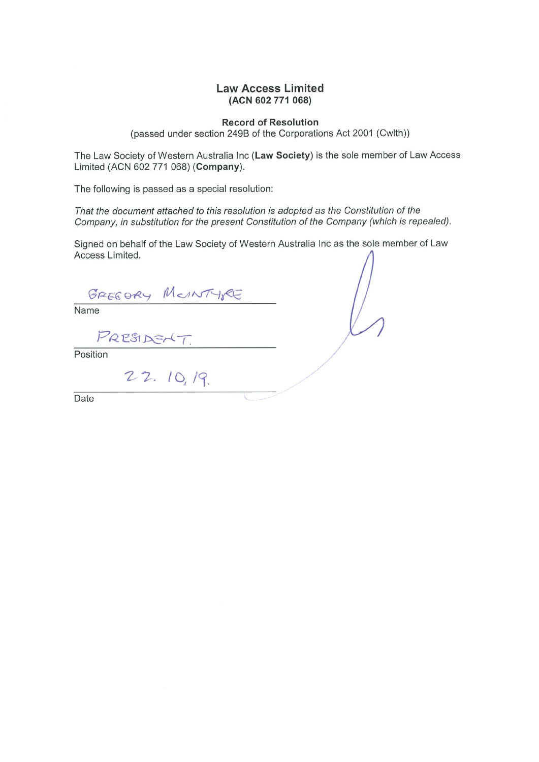#### **Law Access Limited** (ACN 602 771 068)

**Record of Resolution** (passed under section 249B of the Corporations Act 2001 (Cwlth))

The Law Society of Western Australia Inc (Law Society) is the sole member of Law Access Limited (ACN 602 771 068) (Company).

The following is passed as a special resolution:

That the document attached to this resolution is adopted as the Constitution of the Company, in substitution for the present Constitution of the Company (which is repealed).

Signed on behalf of the Law Society of Western Australia Inc as the sole member of Law Access Limited.

GREEDRY MONTYRE

Name

PRESIDENT

Position

22.10,19.

Date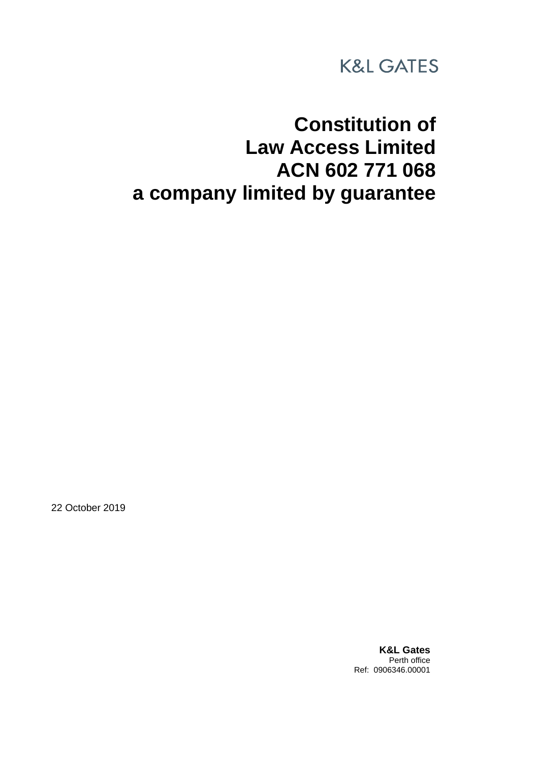

# **Constitution of Law Access Limited ACN 602 771 068 a company limited by guarantee**

22 October 2019

**K&L Gates** Perth office Ref: 0906346.00001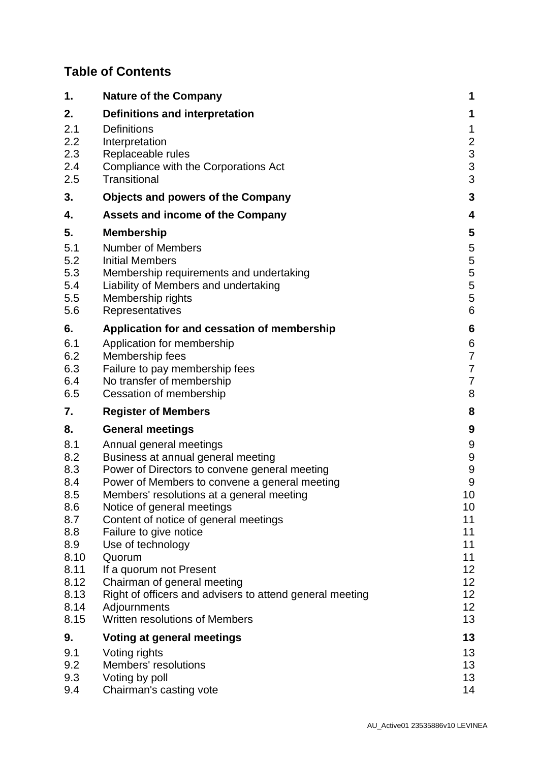# **Table of Contents**

| 1.                                                                                                          | <b>Nature of the Company</b>                                                                                                                                                                                                                                                                                                                                                                                                                                                                                                | 1                                                                                  |
|-------------------------------------------------------------------------------------------------------------|-----------------------------------------------------------------------------------------------------------------------------------------------------------------------------------------------------------------------------------------------------------------------------------------------------------------------------------------------------------------------------------------------------------------------------------------------------------------------------------------------------------------------------|------------------------------------------------------------------------------------|
| 2.                                                                                                          | <b>Definitions and interpretation</b>                                                                                                                                                                                                                                                                                                                                                                                                                                                                                       | 1                                                                                  |
| 2.1<br>2.2<br>2.3<br>2.4                                                                                    | <b>Definitions</b><br>Interpretation<br>Replaceable rules<br>Compliance with the Corporations Act                                                                                                                                                                                                                                                                                                                                                                                                                           | $\mathbf{1}$<br>$\begin{array}{c} 2 \\ 3 \\ 3 \end{array}$                         |
| 2.5                                                                                                         | Transitional                                                                                                                                                                                                                                                                                                                                                                                                                                                                                                                | 3                                                                                  |
| 3.                                                                                                          | <b>Objects and powers of the Company</b>                                                                                                                                                                                                                                                                                                                                                                                                                                                                                    | 3                                                                                  |
| 4.                                                                                                          | <b>Assets and income of the Company</b>                                                                                                                                                                                                                                                                                                                                                                                                                                                                                     | 4                                                                                  |
| 5.<br>5.1<br>5.2<br>5.3<br>5.4<br>5.5<br>5.6                                                                | <b>Membership</b><br><b>Number of Members</b><br><b>Initial Members</b><br>Membership requirements and undertaking<br>Liability of Members and undertaking<br>Membership rights<br>Representatives                                                                                                                                                                                                                                                                                                                          | 5<br>5<br>5<br>5<br>5<br>5<br>6                                                    |
| 6.                                                                                                          | Application for and cessation of membership                                                                                                                                                                                                                                                                                                                                                                                                                                                                                 | $6\phantom{1}6$                                                                    |
| 6.1<br>6.2<br>6.3<br>6.4<br>6.5                                                                             | Application for membership<br>Membership fees<br>Failure to pay membership fees<br>No transfer of membership<br>Cessation of membership                                                                                                                                                                                                                                                                                                                                                                                     | $6\phantom{1}6$<br>7<br>$\overline{7}$<br>$\overline{7}$<br>8                      |
| 7.                                                                                                          | <b>Register of Members</b>                                                                                                                                                                                                                                                                                                                                                                                                                                                                                                  | 8                                                                                  |
| 8.                                                                                                          | <b>General meetings</b>                                                                                                                                                                                                                                                                                                                                                                                                                                                                                                     | 9                                                                                  |
| 8.1<br>8.2<br>8.3<br>8.4<br>8.5<br>8.6<br>8.7<br>8.8<br>8.9<br>8.10<br>8.11<br>8.12<br>8.13<br>8.14<br>8.15 | Annual general meetings<br>Business at annual general meeting<br>Power of Directors to convene general meeting<br>Power of Members to convene a general meeting<br>Members' resolutions at a general meeting<br>Notice of general meetings<br>Content of notice of general meetings<br>Failure to give notice<br>Use of technology<br>Quorum<br>If a quorum not Present<br>Chairman of general meeting<br>Right of officers and advisers to attend general meeting<br>Adjournments<br><b>Written resolutions of Members</b> | 9<br>9<br>9<br>9<br>10<br>10<br>11<br>11<br>11<br>11<br>12<br>12<br>12<br>12<br>13 |
| 9.                                                                                                          | Voting at general meetings                                                                                                                                                                                                                                                                                                                                                                                                                                                                                                  | 13                                                                                 |
| 9.1<br>9.2<br>9.3<br>9.4                                                                                    | Voting rights<br>Members' resolutions<br>Voting by poll<br>Chairman's casting vote                                                                                                                                                                                                                                                                                                                                                                                                                                          | 13<br>13<br>13<br>14                                                               |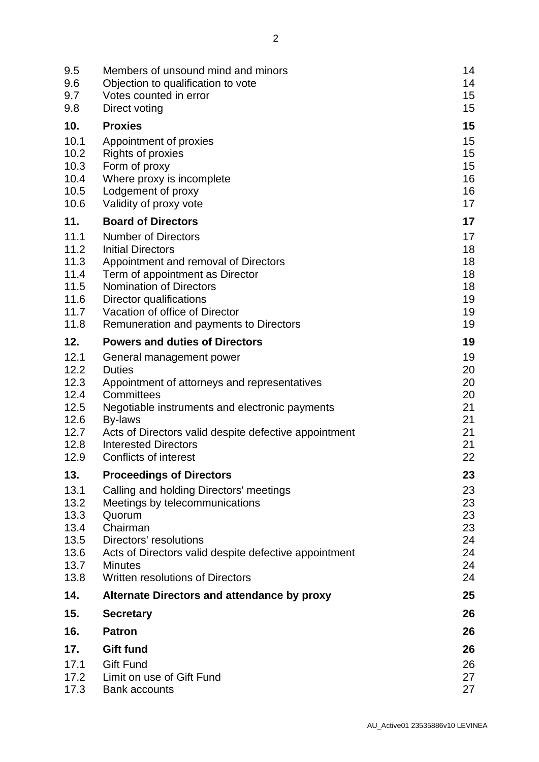| 9.5<br>9.6<br>9.7<br>9.8                                             | Members of unsound mind and minors<br>Objection to qualification to vote<br>Votes counted in error<br>Direct voting                                                                                                                                                                          | 14<br>14<br>15<br>15                               |
|----------------------------------------------------------------------|----------------------------------------------------------------------------------------------------------------------------------------------------------------------------------------------------------------------------------------------------------------------------------------------|----------------------------------------------------|
| 10.                                                                  | <b>Proxies</b>                                                                                                                                                                                                                                                                               | 15                                                 |
| 10.1<br>10.2<br>10.3<br>10.4<br>10.5<br>10.6                         | Appointment of proxies<br><b>Rights of proxies</b><br>Form of proxy<br>Where proxy is incomplete<br>Lodgement of proxy<br>Validity of proxy vote                                                                                                                                             | 15<br>15<br>15<br>16<br>16<br>17                   |
| 11.                                                                  | <b>Board of Directors</b>                                                                                                                                                                                                                                                                    | 17                                                 |
| 11.1<br>11.2<br>11.3<br>11.4<br>11.5<br>11.6<br>11.7<br>11.8         | <b>Number of Directors</b><br><b>Initial Directors</b><br>Appointment and removal of Directors<br>Term of appointment as Director<br><b>Nomination of Directors</b><br>Director qualifications<br>Vacation of office of Director<br>Remuneration and payments to Directors                   | 17<br>18<br>18<br>18<br>18<br>19<br>19<br>19       |
| 12.                                                                  | <b>Powers and duties of Directors</b>                                                                                                                                                                                                                                                        | 19                                                 |
| 12.1<br>12.2<br>12.3<br>12.4<br>12.5<br>12.6<br>12.7<br>12.8<br>12.9 | General management power<br><b>Duties</b><br>Appointment of attorneys and representatives<br>Committees<br>Negotiable instruments and electronic payments<br>By-laws<br>Acts of Directors valid despite defective appointment<br><b>Interested Directors</b><br><b>Conflicts of interest</b> | 19<br>20<br>20<br>20<br>21<br>21<br>21<br>21<br>22 |
| 13.                                                                  | <b>Proceedings of Directors</b>                                                                                                                                                                                                                                                              | 23                                                 |
| 13.1<br>13.2<br>13.3<br>13.4<br>13.5<br>13.6<br>13.7<br>13.8         | Calling and holding Directors' meetings<br>Meetings by telecommunications<br>Quorum<br>Chairman<br>Directors' resolutions<br>Acts of Directors valid despite defective appointment<br><b>Minutes</b><br>Written resolutions of Directors                                                     | 23<br>23<br>23<br>23<br>24<br>24<br>24<br>24       |
| 14.                                                                  | Alternate Directors and attendance by proxy                                                                                                                                                                                                                                                  | 25                                                 |
| 15.                                                                  | <b>Secretary</b>                                                                                                                                                                                                                                                                             | 26                                                 |
| 16.                                                                  | <b>Patron</b>                                                                                                                                                                                                                                                                                | 26                                                 |
| 17.                                                                  | <b>Gift fund</b>                                                                                                                                                                                                                                                                             | 26                                                 |
| 17.1<br>17.2<br>17.3                                                 | <b>Gift Fund</b><br>Limit on use of Gift Fund<br><b>Bank accounts</b>                                                                                                                                                                                                                        | 26<br>27<br>27                                     |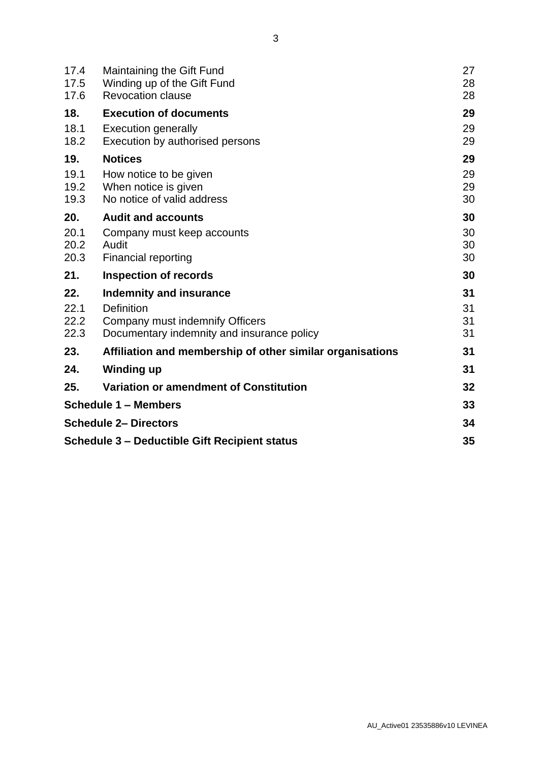| 17.4<br>17.5<br>17.6                          | <b>Maintaining the Gift Fund</b><br>Winding up of the Gift Fund<br><b>Revocation clause</b>                                   | 27<br>28<br>28       |
|-----------------------------------------------|-------------------------------------------------------------------------------------------------------------------------------|----------------------|
| 18.<br>18.1                                   | <b>Execution of documents</b><br><b>Execution generally</b>                                                                   | 29<br>29             |
| 18.2                                          | Execution by authorised persons                                                                                               | 29                   |
| 19.                                           | <b>Notices</b>                                                                                                                | 29                   |
| 19.1<br>19.2<br>19.3                          | How notice to be given<br>When notice is given<br>No notice of valid address                                                  | 29<br>29<br>30       |
| 20.                                           | <b>Audit and accounts</b>                                                                                                     | 30                   |
| 20.1<br>20.2<br>20.3                          | Company must keep accounts<br>Audit<br><b>Financial reporting</b>                                                             | 30<br>30<br>30       |
| 21.                                           | <b>Inspection of records</b>                                                                                                  | 30                   |
| 22.<br>22.1<br>22.2<br>22.3                   | Indemnity and insurance<br><b>Definition</b><br>Company must indemnify Officers<br>Documentary indemnity and insurance policy | 31<br>31<br>31<br>31 |
| 23.                                           | Affiliation and membership of other similar organisations                                                                     | 31                   |
| 24.                                           | <b>Winding up</b>                                                                                                             | 31                   |
| 25.                                           | Variation or amendment of Constitution                                                                                        | 32                   |
| <b>Schedule 1 - Members</b>                   |                                                                                                                               |                      |
| <b>Schedule 2- Directors</b>                  |                                                                                                                               |                      |
| Schedule 3 – Deductible Gift Recipient status |                                                                                                                               |                      |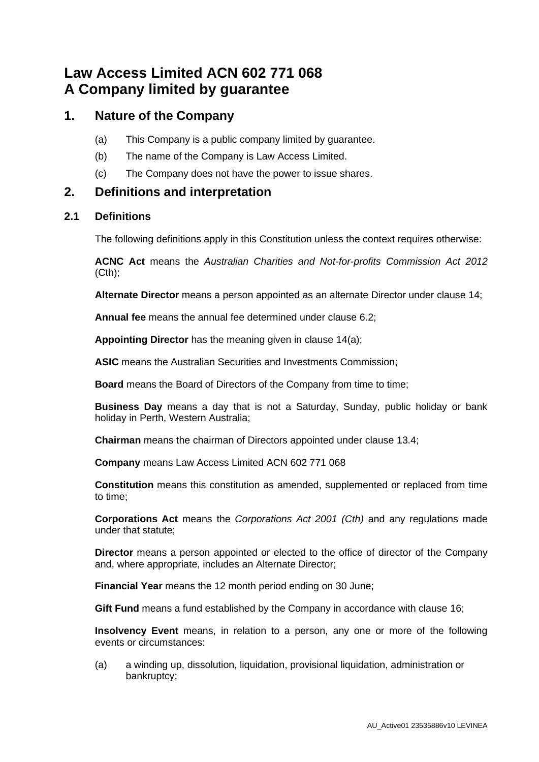# **Law Access Limited ACN 602 771 068 A Company limited by guarantee**

### **1. Nature of the Company**

- (a) This Company is a public company limited by guarantee.
- (b) The name of the Company is Law Access Limited.
- (c) The Company does not have the power to issue shares.

### **2. Definitions and interpretation**

#### **2.1 Definitions**

The following definitions apply in this Constitution unless the context requires otherwise:

**ACNC Act** means the *Australian Charities and Not-for-profits Commission Act 2012*  $(Cth)$ ;

**Alternate Director** means a person appointed as an alternate Director under clause [14;](#page-29-0)

**Annual fee** means the annual fee determined under clause [6.2;](#page-11-0)

**Appointing Director** has the meaning given in clause [14\(a\);](#page-29-1)

**ASIC** means the Australian Securities and Investments Commission;

**Board** means the Board of Directors of the Company from time to time;

**Business Day** means a day that is not a Saturday, Sunday, public holiday or bank holiday in Perth, Western Australia;

**Chairman** means the chairman of Directors appointed under clause [13.4;](#page-27-0)

**Company** means Law Access Limited ACN 602 771 068

**Constitution** means this constitution as amended, supplemented or replaced from time to time;

**Corporations Act** means the *Corporations Act 2001 (Cth)* and any regulations made under that statute;

**Director** means a person appointed or elected to the office of director of the Company and, where appropriate, includes an Alternate Director;

**Financial Year** means the 12 month period ending on 30 June;

**Gift Fund** means a fund established by the Company in accordance with clause [16;](#page-30-0)

**Insolvency Event** means, in relation to a person, any one or more of the following events or circumstances:

<span id="page-5-0"></span>(a) a winding up, dissolution, liquidation, provisional liquidation, administration or bankruptcy;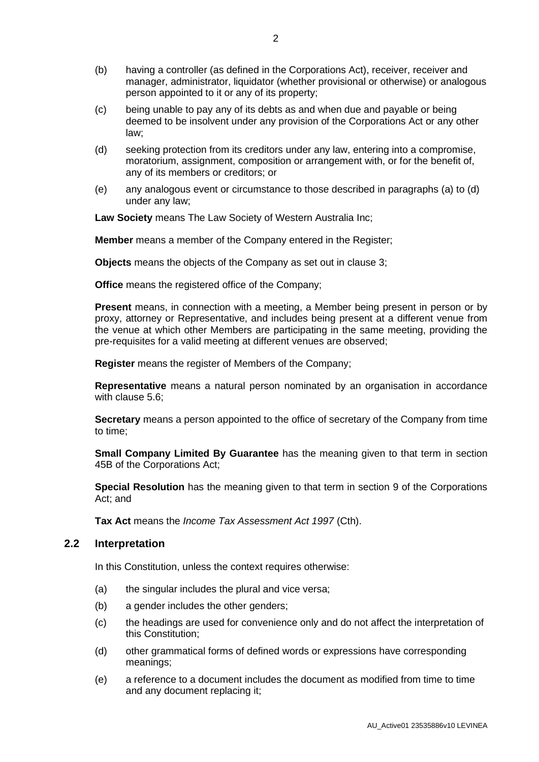- (b) having a controller (as defined in the Corporations Act), receiver, receiver and manager, administrator, liquidator (whether provisional or otherwise) or analogous person appointed to it or any of its property;
- (c) being unable to pay any of its debts as and when due and payable or being deemed to be insolvent under any provision of the Corporations Act or any other law;
- <span id="page-6-0"></span>(d) seeking protection from its creditors under any law, entering into a compromise, moratorium, assignment, composition or arrangement with, or for the benefit of, any of its members or creditors; or
- (e) any analogous event or circumstance to those described in paragraphs [\(a\)](#page-5-0) to [\(d\)](#page-6-0) under any law;

**Law Society** means The Law Society of Western Australia Inc;

**Member** means a member of the Company entered in the Register;

**Objects** means the objects of the Company as set out in clause [3;](#page-7-0)

**Office** means the registered office of the Company;

**Present** means, in connection with a meeting, a Member being present in person or by proxy, attorney or Representative, and includes being present at a different venue from the venue at which other Members are participating in the same meeting, providing the pre-requisites for a valid meeting at different venues are observed;

**Register** means the register of Members of the Company;

**Representative** means a natural person nominated by an organisation in accordance with clause [5.6;](#page-10-0)

**Secretary** means a person appointed to the office of secretary of the Company from time to time;

**Small Company Limited By Guarantee** has the meaning given to that term in section 45B of the Corporations Act;

**Special Resolution** has the meaning given to that term in section 9 of the Corporations Act; and

**Tax Act** means the *Income Tax Assessment Act 1997* (Cth).

#### **2.2 Interpretation**

In this Constitution, unless the context requires otherwise:

- (a) the singular includes the plural and vice versa;
- (b) a gender includes the other genders;
- (c) the headings are used for convenience only and do not affect the interpretation of this Constitution;
- (d) other grammatical forms of defined words or expressions have corresponding meanings;
- (e) a reference to a document includes the document as modified from time to time and any document replacing it;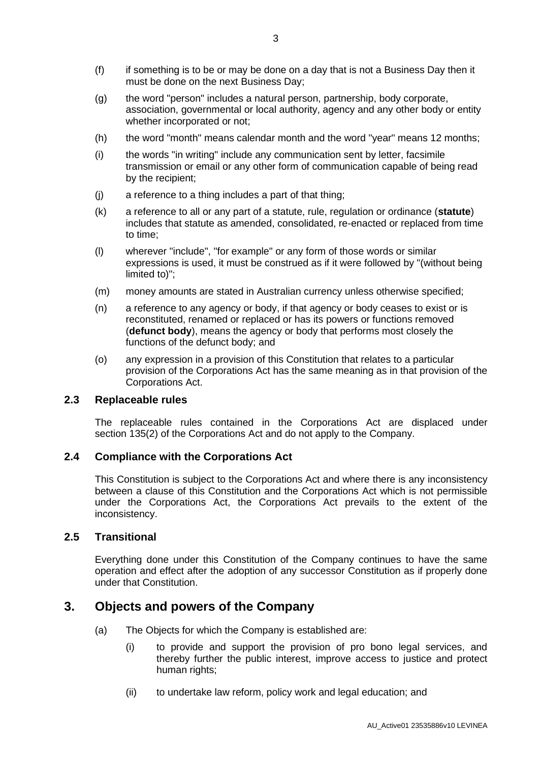- (f) if something is to be or may be done on a day that is not a Business Day then it must be done on the next Business Day;
- (g) the word "person" includes a natural person, partnership, body corporate, association, governmental or local authority, agency and any other body or entity whether incorporated or not;
- (h) the word "month" means calendar month and the word "year" means 12 months;
- (i) the words "in writing" include any communication sent by letter, facsimile transmission or email or any other form of communication capable of being read by the recipient;
- (j) a reference to a thing includes a part of that thing;
- (k) a reference to all or any part of a statute, rule, regulation or ordinance (**statute**) includes that statute as amended, consolidated, re-enacted or replaced from time to time;
- (l) wherever "include", "for example" or any form of those words or similar expressions is used, it must be construed as if it were followed by "(without being limited to)";
- (m) money amounts are stated in Australian currency unless otherwise specified;
- (n) a reference to any agency or body, if that agency or body ceases to exist or is reconstituted, renamed or replaced or has its powers or functions removed (**defunct body**), means the agency or body that performs most closely the functions of the defunct body; and
- (o) any expression in a provision of this Constitution that relates to a particular provision of the Corporations Act has the same meaning as in that provision of the Corporations Act.

#### **2.3 Replaceable rules**

The replaceable rules contained in the Corporations Act are displaced under section 135(2) of the Corporations Act and do not apply to the Company.

#### **2.4 Compliance with the Corporations Act**

This Constitution is subject to the Corporations Act and where there is any inconsistency between a clause of this Constitution and the Corporations Act which is not permissible under the Corporations Act, the Corporations Act prevails to the extent of the inconsistency.

#### **2.5 Transitional**

Everything done under this Constitution of the Company continues to have the same operation and effect after the adoption of any successor Constitution as if properly done under that Constitution.

### <span id="page-7-0"></span>**3. Objects and powers of the Company**

- (a) The Objects for which the Company is established are:
	- (i) to provide and support the provision of pro bono legal services, and thereby further the public interest, improve access to justice and protect human rights;
	- (ii) to undertake law reform, policy work and legal education; and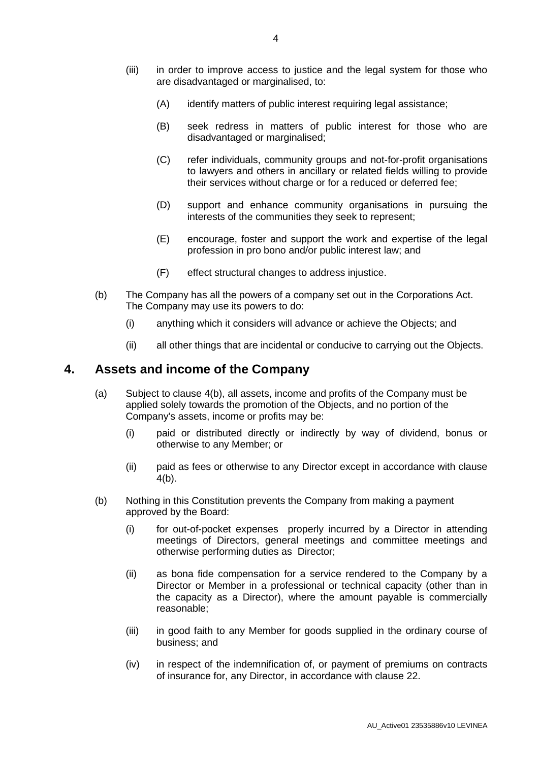- (iii) in order to improve access to justice and the legal system for those who are disadvantaged or marginalised, to:
	- (A) identify matters of public interest requiring legal assistance;
	- (B) seek redress in matters of public interest for those who are disadvantaged or marginalised;
	- (C) refer individuals, community groups and not-for-profit organisations to lawyers and others in ancillary or related fields willing to provide their services without charge or for a reduced or deferred fee;
	- (D) support and enhance community organisations in pursuing the interests of the communities they seek to represent;
	- (E) encourage, foster and support the work and expertise of the legal profession in pro bono and/or public interest law; and
	- (F) effect structural changes to address injustice.
- (b) The Company has all the powers of a company set out in the Corporations Act. The Company may use its powers to do:
	- (i) anything which it considers will advance or achieve the Objects; and
	- (ii) all other things that are incidental or conducive to carrying out the Objects.

### <span id="page-8-2"></span>**4. Assets and income of the Company**

- (a) Subject to clause [4\(b\),](#page-8-0) all assets, income and profits of the Company must be applied solely towards the promotion of the Objects, and no portion of the Company's assets, income or profits may be:
	- (i) paid or distributed directly or indirectly by way of dividend, bonus or otherwise to any Member; or
	- (ii) paid as fees or otherwise to any Director except in accordance with clause [4\(b\).](#page-8-0)
- <span id="page-8-1"></span><span id="page-8-0"></span>(b) Nothing in this Constitution prevents the Company from making a payment approved by the Board:
	- (i) for out-of-pocket expenses properly incurred by a Director in attending meetings of Directors, general meetings and committee meetings and otherwise performing duties as Director;
	- (ii) as bona fide compensation for a service rendered to the Company by a Director or Member in a professional or technical capacity (other than in the capacity as a Director), where the amount payable is commercially reasonable;
	- (iii) in good faith to any Member for goods supplied in the ordinary course of business; and
	- (iv) in respect of the indemnification of, or payment of premiums on contracts of insurance for, any Director, in accordance with clause [22.](#page-35-0)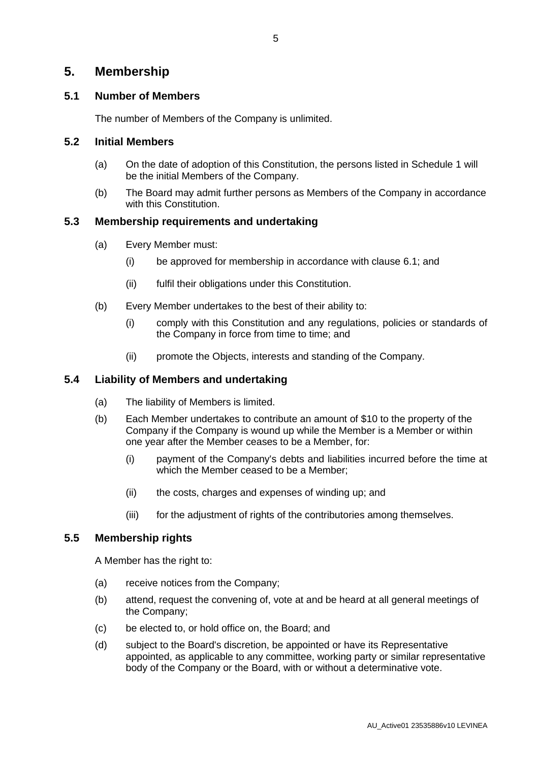### **5. Membership**

#### **5.1 Number of Members**

The number of Members of the Company is unlimited.

#### <span id="page-9-0"></span>**5.2 Initial Members**

- (a) On the date of adoption of this Constitution, the persons listed in Schedule [1](#page-37-0) will be the initial Members of the Company.
- (b) The Board may admit further persons as Members of the Company in accordance with this Constitution.

#### **5.3 Membership requirements and undertaking**

- (a) Every Member must:
	- (i) be approved for membership in accordance with clause [6.1;](#page-10-1) and
	- (ii) fulfil their obligations under this Constitution.
- (b) Every Member undertakes to the best of their ability to:
	- (i) comply with this Constitution and any regulations, policies or standards of the Company in force from time to time; and
	- (ii) promote the Objects, interests and standing of the Company.

#### **5.4 Liability of Members and undertaking**

- (a) The liability of Members is limited.
- (b) Each Member undertakes to contribute an amount of \$10 to the property of the Company if the Company is wound up while the Member is a Member or within one year after the Member ceases to be a Member, for:
	- (i) payment of the Company's debts and liabilities incurred before the time at which the Member ceased to be a Member:
	- (ii) the costs, charges and expenses of winding up; and
	- (iii) for the adjustment of rights of the contributories among themselves.

#### **5.5 Membership rights**

A Member has the right to:

- (a) receive notices from the Company;
- (b) attend, request the convening of, vote at and be heard at all general meetings of the Company;
- (c) be elected to, or hold office on, the Board; and
- (d) subject to the Board's discretion, be appointed or have its Representative appointed, as applicable to any committee, working party or similar representative body of the Company or the Board, with or without a determinative vote.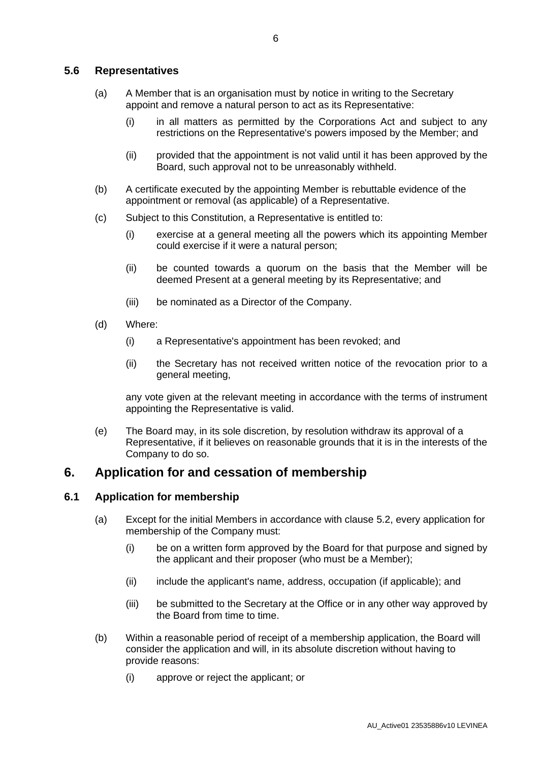#### <span id="page-10-0"></span>**5.6 Representatives**

- (a) A Member that is an organisation must by notice in writing to the Secretary appoint and remove a natural person to act as its Representative:
	- (i) in all matters as permitted by the Corporations Act and subject to any restrictions on the Representative's powers imposed by the Member; and
	- (ii) provided that the appointment is not valid until it has been approved by the Board, such approval not to be unreasonably withheld.
- (b) A certificate executed by the appointing Member is rebuttable evidence of the appointment or removal (as applicable) of a Representative.
- (c) Subject to this Constitution, a Representative is entitled to:
	- (i) exercise at a general meeting all the powers which its appointing Member could exercise if it were a natural person;
	- (ii) be counted towards a quorum on the basis that the Member will be deemed Present at a general meeting by its Representative; and
	- (iii) be nominated as a Director of the Company.
- (d) Where:
	- (i) a Representative's appointment has been revoked; and
	- (ii) the Secretary has not received written notice of the revocation prior to a general meeting,

any vote given at the relevant meeting in accordance with the terms of instrument appointing the Representative is valid.

(e) The Board may, in its sole discretion, by resolution withdraw its approval of a Representative, if it believes on reasonable grounds that it is in the interests of the Company to do so.

### **6. Application for and cessation of membership**

#### <span id="page-10-1"></span>**6.1 Application for membership**

- (a) Except for the initial Members in accordance with clause [5.2,](#page-9-0) every application for membership of the Company must:
	- (i) be on a written form approved by the Board for that purpose and signed by the applicant and their proposer (who must be a Member);
	- (ii) include the applicant's name, address, occupation (if applicable); and
	- (iii) be submitted to the Secretary at the Office or in any other way approved by the Board from time to time.
- (b) Within a reasonable period of receipt of a membership application, the Board will consider the application and will, in its absolute discretion without having to provide reasons:
	- (i) approve or reject the applicant; or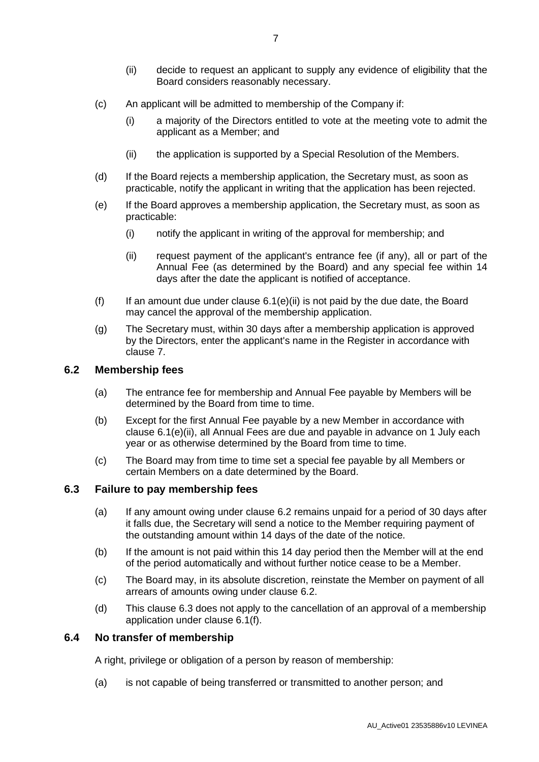- (ii) decide to request an applicant to supply any evidence of eligibility that the Board considers reasonably necessary.
- (c) An applicant will be admitted to membership of the Company if:
	- (i) a majority of the Directors entitled to vote at the meeting vote to admit the applicant as a Member; and
	- (ii) the application is supported by a Special Resolution of the Members.
- (d) If the Board rejects a membership application, the Secretary must, as soon as practicable, notify the applicant in writing that the application has been rejected.
- (e) If the Board approves a membership application, the Secretary must, as soon as practicable:
	- (i) notify the applicant in writing of the approval for membership; and
	- (ii) request payment of the applicant's entrance fee (if any), all or part of the Annual Fee (as determined by the Board) and any special fee within 14 days after the date the applicant is notified of acceptance.
- <span id="page-11-3"></span><span id="page-11-1"></span>(f) If an amount due under clause  $6.1(e)(ii)$  is not paid by the due date, the Board may cancel the approval of the membership application.
- (g) The Secretary must, within 30 days after a membership application is approved by the Directors, enter the applicant's name in the Register in accordance with clause [7.](#page-12-0)

#### <span id="page-11-0"></span>**6.2 Membership fees**

- (a) The entrance fee for membership and Annual Fee payable by Members will be determined by the Board from time to time.
- (b) Except for the first Annual Fee payable by a new Member in accordance with clause [6.1\(e\)\(ii\),](#page-11-1) all Annual Fees are due and payable in advance on 1 July each year or as otherwise determined by the Board from time to time.
- (c) The Board may from time to time set a special fee payable by all Members or certain Members on a date determined by the Board.

#### <span id="page-11-2"></span>**6.3 Failure to pay membership fees**

- (a) If any amount owing under clause [6.2](#page-11-0) remains unpaid for a period of 30 days after it falls due, the Secretary will send a notice to the Member requiring payment of the outstanding amount within 14 days of the date of the notice.
- (b) If the amount is not paid within this 14 day period then the Member will at the end of the period automatically and without further notice cease to be a Member.
- (c) The Board may, in its absolute discretion, reinstate the Member on payment of all arrears of amounts owing under clause [6.2.](#page-11-0)
- (d) This clause [6.3](#page-11-2) does not apply to the cancellation of an approval of a membership application under clause [6.1\(f\).](#page-11-3)

#### **6.4 No transfer of membership**

A right, privilege or obligation of a person by reason of membership:

(a) is not capable of being transferred or transmitted to another person; and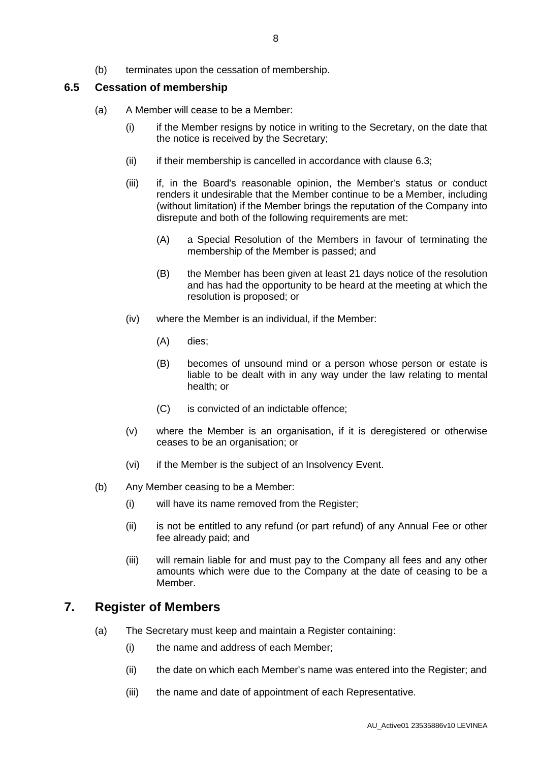### **6.5 Cessation of membership**

- (a) A Member will cease to be a Member:
	- (i) if the Member resigns by notice in writing to the Secretary, on the date that the notice is received by the Secretary;
	- $(ii)$  if their membership is cancelled in accordance with clause [6.3;](#page-11-2)
	- (iii) if, in the Board's reasonable opinion, the Member's status or conduct renders it undesirable that the Member continue to be a Member, including (without limitation) if the Member brings the reputation of the Company into disrepute and both of the following requirements are met:
		- (A) a Special Resolution of the Members in favour of terminating the membership of the Member is passed; and
		- (B) the Member has been given at least 21 days notice of the resolution and has had the opportunity to be heard at the meeting at which the resolution is proposed; or
	- (iv) where the Member is an individual, if the Member:
		- (A) dies;
		- (B) becomes of unsound mind or a person whose person or estate is liable to be dealt with in any way under the law relating to mental health; or
		- (C) is convicted of an indictable offence;
	- (v) where the Member is an organisation, if it is deregistered or otherwise ceases to be an organisation; or
	- (vi) if the Member is the subject of an Insolvency Event.
- (b) Any Member ceasing to be a Member:
	- (i) will have its name removed from the Register;
	- (ii) is not be entitled to any refund (or part refund) of any Annual Fee or other fee already paid; and
	- (iii) will remain liable for and must pay to the Company all fees and any other amounts which were due to the Company at the date of ceasing to be a Member.

# <span id="page-12-0"></span>**7. Register of Members**

- (a) The Secretary must keep and maintain a Register containing:
	- (i) the name and address of each Member;
	- (ii) the date on which each Member's name was entered into the Register; and
	- (iii) the name and date of appointment of each Representative.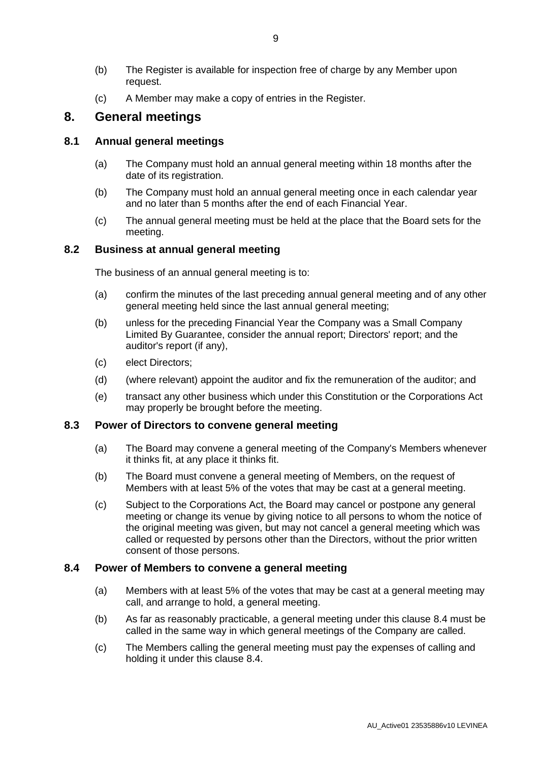- (b) The Register is available for inspection free of charge by any Member upon request.
- (c) A Member may make a copy of entries in the Register.

### **8. General meetings**

#### **8.1 Annual general meetings**

- (a) The Company must hold an annual general meeting within 18 months after the date of its registration.
- (b) The Company must hold an annual general meeting once in each calendar year and no later than 5 months after the end of each Financial Year.
- (c) The annual general meeting must be held at the place that the Board sets for the meeting.

#### **8.2 Business at annual general meeting**

The business of an annual general meeting is to:

- (a) confirm the minutes of the last preceding annual general meeting and of any other general meeting held since the last annual general meeting;
- (b) unless for the preceding Financial Year the Company was a Small Company Limited By Guarantee, consider the annual report; Directors' report; and the auditor's report (if any),
- (c) elect Directors;
- (d) (where relevant) appoint the auditor and fix the remuneration of the auditor; and
- (e) transact any other business which under this Constitution or the Corporations Act may properly be brought before the meeting.

#### **8.3 Power of Directors to convene general meeting**

- (a) The Board may convene a general meeting of the Company's Members whenever it thinks fit, at any place it thinks fit.
- (b) The Board must convene a general meeting of Members, on the request of Members with at least 5% of the votes that may be cast at a general meeting.
- (c) Subject to the Corporations Act, the Board may cancel or postpone any general meeting or change its venue by giving notice to all persons to whom the notice of the original meeting was given, but may not cancel a general meeting which was called or requested by persons other than the Directors, without the prior written consent of those persons.

#### <span id="page-13-0"></span>**8.4 Power of Members to convene a general meeting**

- (a) Members with at least 5% of the votes that may be cast at a general meeting may call, and arrange to hold, a general meeting.
- (b) As far as reasonably practicable, a general meeting under this clause [8.4](#page-13-0) must be called in the same way in which general meetings of the Company are called.
- (c) The Members calling the general meeting must pay the expenses of calling and holding it under this clause [8.4.](#page-13-0)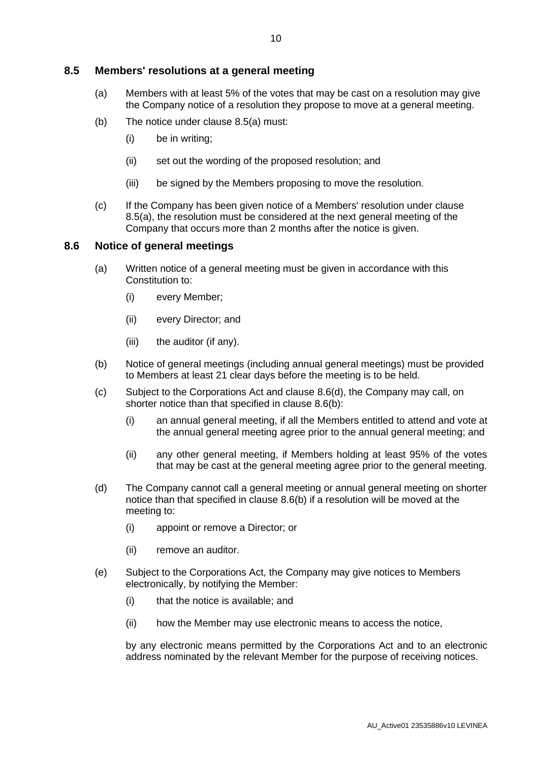#### <span id="page-14-0"></span>**8.5 Members' resolutions at a general meeting**

- (a) Members with at least 5% of the votes that may be cast on a resolution may give the Company notice of a resolution they propose to move at a general meeting.
- (b) The notice under clause [8.5\(a\)](#page-14-0) must:
	- (i) be in writing;
	- (ii) set out the wording of the proposed resolution; and
	- (iii) be signed by the Members proposing to move the resolution.
- (c) If the Company has been given notice of a Members' resolution under clause [8.5\(a\),](#page-14-0) the resolution must be considered at the next general meeting of the Company that occurs more than 2 months after the notice is given.

#### **8.6 Notice of general meetings**

- (a) Written notice of a general meeting must be given in accordance with this Constitution to:
	- (i) every Member;
	- (ii) every Director; and
	- (iii) the auditor (if any).
- <span id="page-14-2"></span>(b) Notice of general meetings (including annual general meetings) must be provided to Members at least 21 clear days before the meeting is to be held.
- (c) Subject to the Corporations Act and clause [8.6\(d\),](#page-14-1) the Company may call, on shorter notice than that specified in clause [8.6\(b\):](#page-14-2)
	- (i) an annual general meeting, if all the Members entitled to attend and vote at the annual general meeting agree prior to the annual general meeting; and
	- (ii) any other general meeting, if Members holding at least 95% of the votes that may be cast at the general meeting agree prior to the general meeting.
- <span id="page-14-1"></span>(d) The Company cannot call a general meeting or annual general meeting on shorter notice than that specified in clause [8.6\(b\)](#page-14-2) if a resolution will be moved at the meeting to:
	- (i) appoint or remove a Director; or
	- (ii) remove an auditor.
- (e) Subject to the Corporations Act, the Company may give notices to Members electronically, by notifying the Member:
	- (i) that the notice is available; and
	- (ii) how the Member may use electronic means to access the notice,

by any electronic means permitted by the Corporations Act and to an electronic address nominated by the relevant Member for the purpose of receiving notices.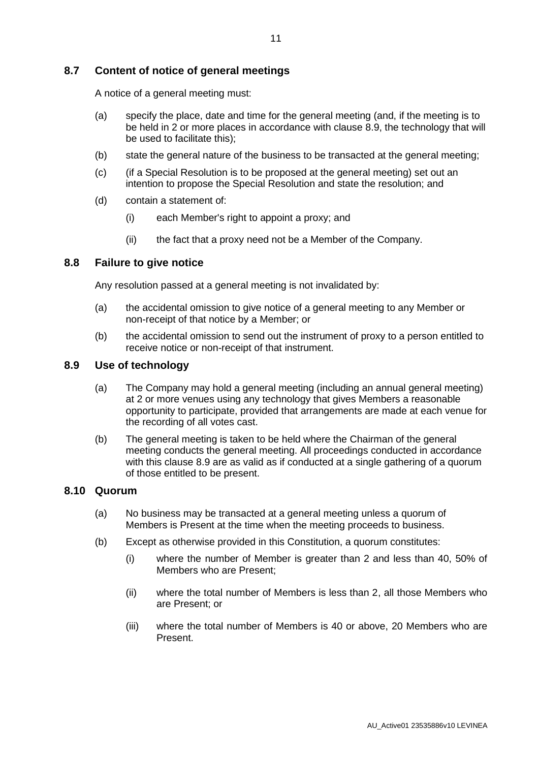#### **8.7 Content of notice of general meetings**

A notice of a general meeting must:

- (a) specify the place, date and time for the general meeting (and, if the meeting is to be held in 2 or more places in accordance with clause [8.9,](#page-15-0) the technology that will be used to facilitate this);
- (b) state the general nature of the business to be transacted at the general meeting;
- (c) (if a Special Resolution is to be proposed at the general meeting) set out an intention to propose the Special Resolution and state the resolution; and
- (d) contain a statement of:
	- (i) each Member's right to appoint a proxy; and
	- (ii) the fact that a proxy need not be a Member of the Company.

#### **8.8 Failure to give notice**

Any resolution passed at a general meeting is not invalidated by:

- (a) the accidental omission to give notice of a general meeting to any Member or non-receipt of that notice by a Member; or
- (b) the accidental omission to send out the instrument of proxy to a person entitled to receive notice or non-receipt of that instrument.

#### **8.9 Use of technology**

- <span id="page-15-0"></span>(a) The Company may hold a general meeting (including an annual general meeting) at 2 or more venues using any technology that gives Members a reasonable opportunity to participate, provided that arrangements are made at each venue for the recording of all votes cast.
- (b) The general meeting is taken to be held where the Chairman of the general meeting conducts the general meeting. All proceedings conducted in accordance with this clause [8.9](#page-15-0) are as valid as if conducted at a single gathering of a quorum of those entitled to be present.

#### **8.10 Quorum**

- (a) No business may be transacted at a general meeting unless a quorum of Members is Present at the time when the meeting proceeds to business.
- (b) Except as otherwise provided in this Constitution, a quorum constitutes:
	- (i) where the number of Member is greater than 2 and less than 40, 50% of Members who are Present;
	- (ii) where the total number of Members is less than 2, all those Members who are Present; or
	- (iii) where the total number of Members is 40 or above, 20 Members who are Present.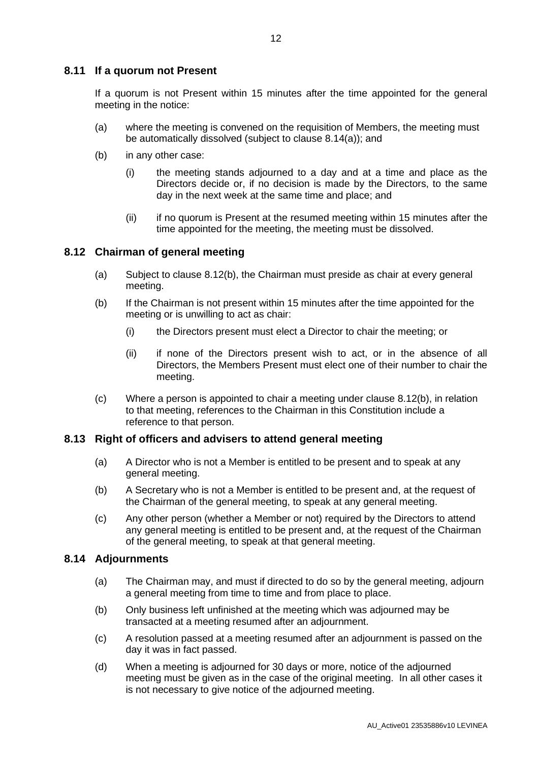#### **8.11 If a quorum not Present**

If a quorum is not Present within 15 minutes after the time appointed for the general meeting in the notice:

- (a) where the meeting is convened on the requisition of Members, the meeting must be automatically dissolved (subject to clause [8.14\(a\)\)](#page-16-0); and
- (b) in any other case:
	- (i) the meeting stands adjourned to a day and at a time and place as the Directors decide or, if no decision is made by the Directors, to the same day in the next week at the same time and place; and
	- (ii) if no quorum is Present at the resumed meeting within 15 minutes after the time appointed for the meeting, the meeting must be dissolved.

#### **8.12 Chairman of general meeting**

- (a) Subject to clause [8.12\(b\),](#page-16-1) the Chairman must preside as chair at every general meeting.
- <span id="page-16-1"></span>(b) If the Chairman is not present within 15 minutes after the time appointed for the meeting or is unwilling to act as chair:
	- (i) the Directors present must elect a Director to chair the meeting; or
	- (ii) if none of the Directors present wish to act, or in the absence of all Directors, the Members Present must elect one of their number to chair the meeting.
- (c) Where a person is appointed to chair a meeting under clause [8.12\(b\),](#page-16-1) in relation to that meeting, references to the Chairman in this Constitution include a reference to that person.

#### **8.13 Right of officers and advisers to attend general meeting**

- (a) A Director who is not a Member is entitled to be present and to speak at any general meeting.
- (b) A Secretary who is not a Member is entitled to be present and, at the request of the Chairman of the general meeting, to speak at any general meeting.
- (c) Any other person (whether a Member or not) required by the Directors to attend any general meeting is entitled to be present and, at the request of the Chairman of the general meeting, to speak at that general meeting.

#### <span id="page-16-0"></span>**8.14 Adjournments**

- (a) The Chairman may, and must if directed to do so by the general meeting, adjourn a general meeting from time to time and from place to place.
- (b) Only business left unfinished at the meeting which was adjourned may be transacted at a meeting resumed after an adjournment.
- (c) A resolution passed at a meeting resumed after an adjournment is passed on the day it was in fact passed.
- (d) When a meeting is adjourned for 30 days or more, notice of the adjourned meeting must be given as in the case of the original meeting. In all other cases it is not necessary to give notice of the adjourned meeting.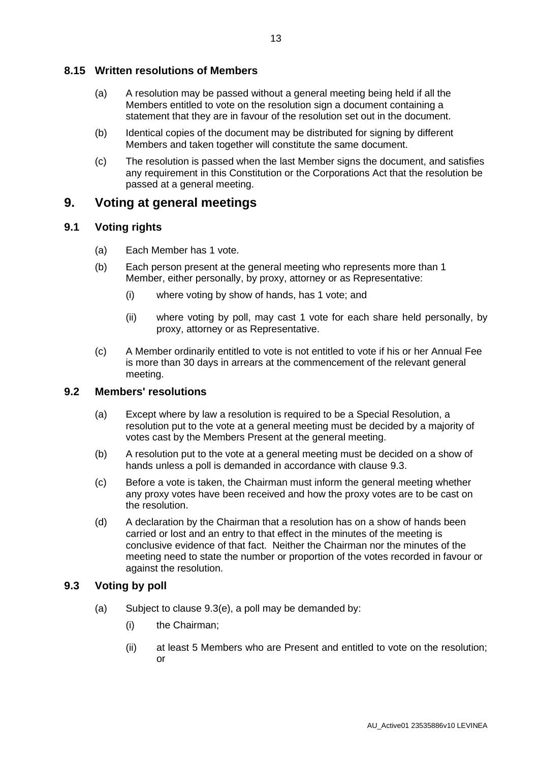#### **8.15 Written resolutions of Members**

- (a) A resolution may be passed without a general meeting being held if all the Members entitled to vote on the resolution sign a document containing a statement that they are in favour of the resolution set out in the document.
- (b) Identical copies of the document may be distributed for signing by different Members and taken together will constitute the same document.
- (c) The resolution is passed when the last Member signs the document, and satisfies any requirement in this Constitution or the Corporations Act that the resolution be passed at a general meeting.

### **9. Voting at general meetings**

#### **9.1 Voting rights**

- (a) Each Member has 1 vote.
- (b) Each person present at the general meeting who represents more than 1 Member, either personally, by proxy, attorney or as Representative:
	- (i) where voting by show of hands, has 1 vote; and
	- (ii) where voting by poll, may cast 1 vote for each share held personally, by proxy, attorney or as Representative.
- (c) A Member ordinarily entitled to vote is not entitled to vote if his or her Annual Fee is more than 30 days in arrears at the commencement of the relevant general meeting.

#### **9.2 Members' resolutions**

- (a) Except where by law a resolution is required to be a Special Resolution, a resolution put to the vote at a general meeting must be decided by a majority of votes cast by the Members Present at the general meeting.
- (b) A resolution put to the vote at a general meeting must be decided on a show of hands unless a poll is demanded in accordance with clause [9.3.](#page-17-0)
- (c) Before a vote is taken, the Chairman must inform the general meeting whether any proxy votes have been received and how the proxy votes are to be cast on the resolution.
- (d) A declaration by the Chairman that a resolution has on a show of hands been carried or lost and an entry to that effect in the minutes of the meeting is conclusive evidence of that fact. Neither the Chairman nor the minutes of the meeting need to state the number or proportion of the votes recorded in favour or against the resolution.

#### **9.3 Voting by poll**

- <span id="page-17-0"></span>(a) Subject to clause [9.3\(e\),](#page-18-0) a poll may be demanded by:
	- (i) the Chairman;
	- (ii) at least 5 Members who are Present and entitled to vote on the resolution; or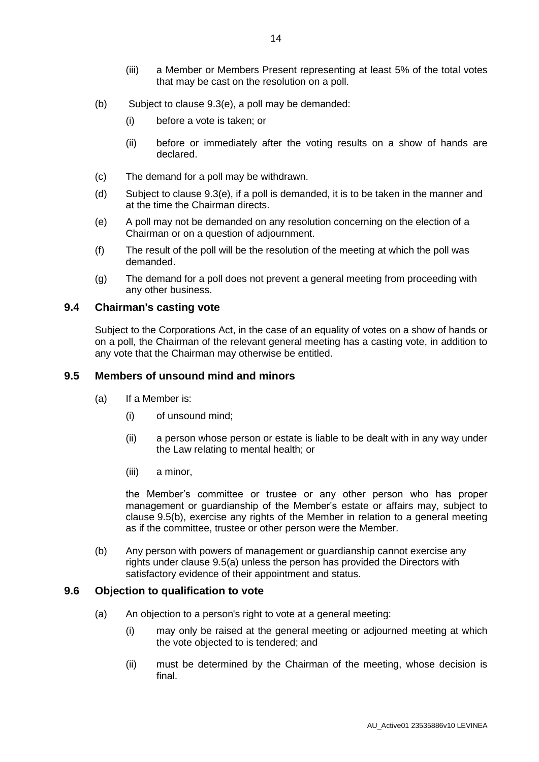- (b) Subject to clause [9.3\(e\),](#page-18-0) a poll may be demanded:
	- (i) before a vote is taken; or
	- (ii) before or immediately after the voting results on a show of hands are declared.
- (c) The demand for a poll may be withdrawn.
- (d) Subject to clause [9.3\(e\),](#page-18-0) if a poll is demanded, it is to be taken in the manner and at the time the Chairman directs.
- <span id="page-18-0"></span>(e) A poll may not be demanded on any resolution concerning on the election of a Chairman or on a question of adjournment.
- (f) The result of the poll will be the resolution of the meeting at which the poll was demanded.
- (g) The demand for a poll does not prevent a general meeting from proceeding with any other business.

#### **9.4 Chairman's casting vote**

Subject to the Corporations Act, in the case of an equality of votes on a show of hands or on a poll, the Chairman of the relevant general meeting has a casting vote, in addition to any vote that the Chairman may otherwise be entitled.

#### **9.5 Members of unsound mind and minors**

- (a) If a Member is:
	- (i) of unsound mind;
	- (ii) a person whose person or estate is liable to be dealt with in any way under the Law relating to mental health; or
	- (iii) a minor,

the Member's committee or trustee or any other person who has proper management or guardianship of the Member's estate or affairs may, subject to clause 9.5(b), exercise any rights of the Member in relation to a general meeting as if the committee, trustee or other person were the Member.

(b) Any person with powers of management or guardianship cannot exercise any rights under clause 9.5(a) unless the person has provided the Directors with satisfactory evidence of their appointment and status.

#### **9.6 Objection to qualification to vote**

- (a) An objection to a person's right to vote at a general meeting:
	- (i) may only be raised at the general meeting or adjourned meeting at which the vote objected to is tendered; and
	- (ii) must be determined by the Chairman of the meeting, whose decision is final.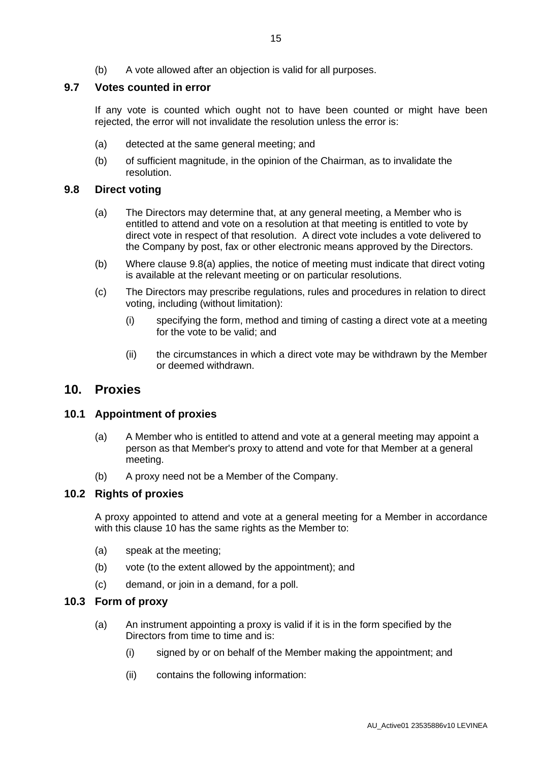(b) A vote allowed after an objection is valid for all purposes.

#### **9.7 Votes counted in error**

If any vote is counted which ought not to have been counted or might have been rejected, the error will not invalidate the resolution unless the error is:

- (a) detected at the same general meeting; and
- (b) of sufficient magnitude, in the opinion of the Chairman, as to invalidate the resolution.

#### <span id="page-19-0"></span>**9.8 Direct voting**

- (a) The Directors may determine that, at any general meeting, a Member who is entitled to attend and vote on a resolution at that meeting is entitled to vote by direct vote in respect of that resolution. A direct vote includes a vote delivered to the Company by post, fax or other electronic means approved by the Directors.
- (b) Where clause [9.8\(a\)](#page-19-0) applies, the notice of meeting must indicate that direct voting is available at the relevant meeting or on particular resolutions.
- (c) The Directors may prescribe regulations, rules and procedures in relation to direct voting, including (without limitation):
	- (i) specifying the form, method and timing of casting a direct vote at a meeting for the vote to be valid; and
	- (ii) the circumstances in which a direct vote may be withdrawn by the Member or deemed withdrawn.

#### <span id="page-19-1"></span>**10. Proxies**

#### **10.1 Appointment of proxies**

- (a) A Member who is entitled to attend and vote at a general meeting may appoint a person as that Member's proxy to attend and vote for that Member at a general meeting.
- (b) A proxy need not be a Member of the Company.

#### **10.2 Rights of proxies**

A proxy appointed to attend and vote at a general meeting for a Member in accordance with this clause [10](#page-19-1) has the same rights as the Member to:

- (a) speak at the meeting;
- (b) vote (to the extent allowed by the appointment); and
- (c) demand, or join in a demand, for a poll.

#### **10.3 Form of proxy**

- (a) An instrument appointing a proxy is valid if it is in the form specified by the Directors from time to time and is:
	- (i) signed by or on behalf of the Member making the appointment; and
	- (ii) contains the following information: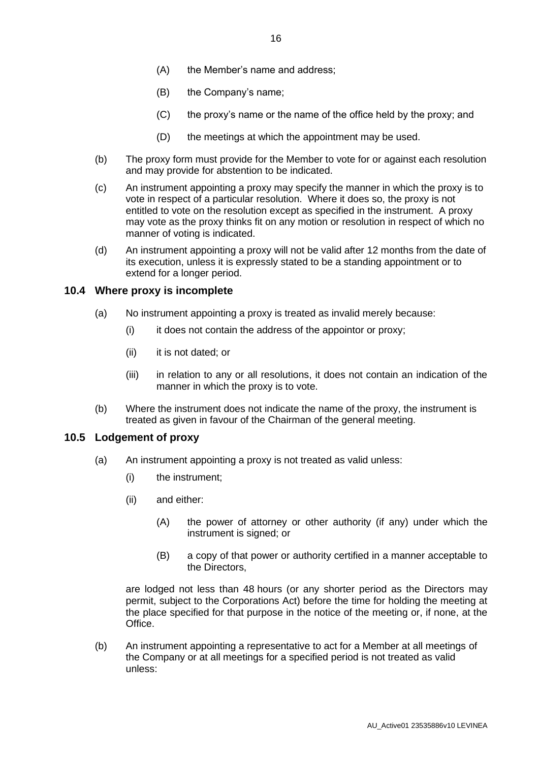- (A) the Member's name and address;
- (B) the Company's name;
- (C) the proxy's name or the name of the office held by the proxy; and
- (D) the meetings at which the appointment may be used.
- (b) The proxy form must provide for the Member to vote for or against each resolution and may provide for abstention to be indicated.
- (c) An instrument appointing a proxy may specify the manner in which the proxy is to vote in respect of a particular resolution. Where it does so, the proxy is not entitled to vote on the resolution except as specified in the instrument. A proxy may vote as the proxy thinks fit on any motion or resolution in respect of which no manner of voting is indicated.
- (d) An instrument appointing a proxy will not be valid after 12 months from the date of its execution, unless it is expressly stated to be a standing appointment or to extend for a longer period.

#### **10.4 Where proxy is incomplete**

- (a) No instrument appointing a proxy is treated as invalid merely because:
	- (i) it does not contain the address of the appointor or proxy;
	- (ii) it is not dated; or
	- (iii) in relation to any or all resolutions, it does not contain an indication of the manner in which the proxy is to vote.
- (b) Where the instrument does not indicate the name of the proxy, the instrument is treated as given in favour of the Chairman of the general meeting.

#### <span id="page-20-0"></span>**10.5 Lodgement of proxy**

- (a) An instrument appointing a proxy is not treated as valid unless:
	- (i) the instrument;
	- (ii) and either:
		- (A) the power of attorney or other authority (if any) under which the instrument is signed; or
		- (B) a copy of that power or authority certified in a manner acceptable to the Directors,

are lodged not less than 48 hours (or any shorter period as the Directors may permit, subject to the Corporations Act) before the time for holding the meeting at the place specified for that purpose in the notice of the meeting or, if none, at the Office.

(b) An instrument appointing a representative to act for a Member at all meetings of the Company or at all meetings for a specified period is not treated as valid unless: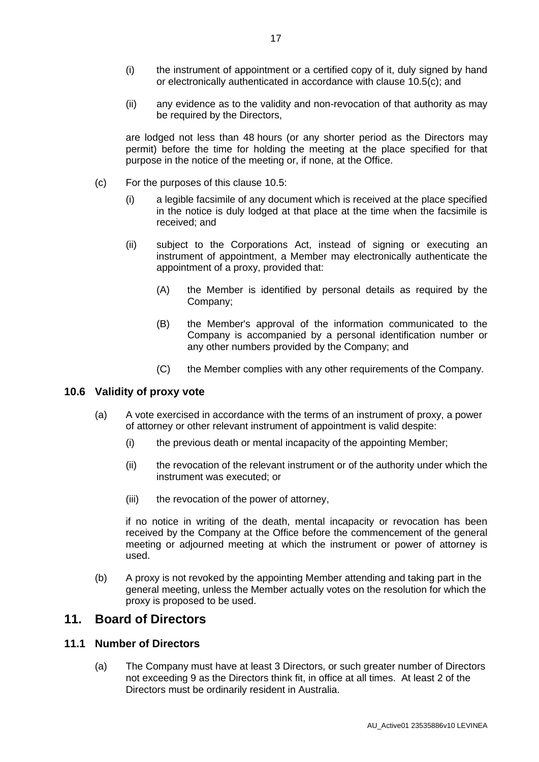- (i) the instrument of appointment or a certified copy of it, duly signed by hand or electronically authenticated in accordance with clause [10.5\(c\);](#page-21-0) and
- (ii) any evidence as to the validity and non-revocation of that authority as may be required by the Directors,

are lodged not less than 48 hours (or any shorter period as the Directors may permit) before the time for holding the meeting at the place specified for that purpose in the notice of the meeting or, if none, at the Office.

- <span id="page-21-0"></span>(c) For the purposes of this clause [10.5:](#page-20-0)
	- (i) a legible facsimile of any document which is received at the place specified in the notice is duly lodged at that place at the time when the facsimile is received; and
	- (ii) subject to the Corporations Act, instead of signing or executing an instrument of appointment, a Member may electronically authenticate the appointment of a proxy, provided that:
		- (A) the Member is identified by personal details as required by the Company;
		- (B) the Member's approval of the information communicated to the Company is accompanied by a personal identification number or any other numbers provided by the Company; and
		- (C) the Member complies with any other requirements of the Company.

#### **10.6 Validity of proxy vote**

- (a) A vote exercised in accordance with the terms of an instrument of proxy, a power of attorney or other relevant instrument of appointment is valid despite:
	- (i) the previous death or mental incapacity of the appointing Member;
	- (ii) the revocation of the relevant instrument or of the authority under which the instrument was executed; or
	- (iii) the revocation of the power of attorney,

if no notice in writing of the death, mental incapacity or revocation has been received by the Company at the Office before the commencement of the general meeting or adjourned meeting at which the instrument or power of attorney is used.

(b) A proxy is not revoked by the appointing Member attending and taking part in the general meeting, unless the Member actually votes on the resolution for which the proxy is proposed to be used.

### **11. Board of Directors**

#### <span id="page-21-1"></span>**11.1 Number of Directors**

(a) The Company must have at least 3 Directors, or such greater number of Directors not exceeding 9 as the Directors think fit, in office at all times. At least 2 of the Directors must be ordinarily resident in Australia.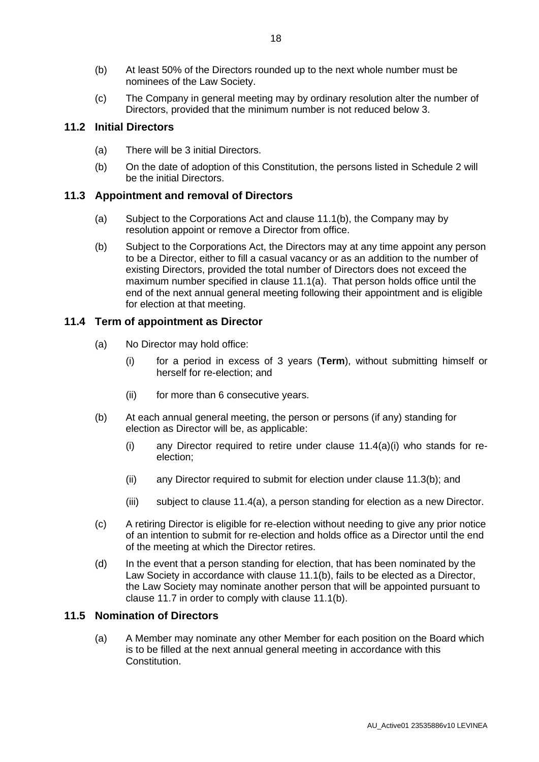- <span id="page-22-3"></span>(b) At least 50% of the Directors rounded up to the next whole number must be nominees of the Law Society.
- (c) The Company in general meeting may by ordinary resolution alter the number of Directors, provided that the minimum number is not reduced below 3.

#### <span id="page-22-7"></span>**11.2 Initial Directors**

- (a) There will be 3 initial Directors.
- (b) On the date of adoption of this Constitution, the persons listed in Schedule [2](#page-38-0) will be the initial Directors.

#### <span id="page-22-5"></span>**11.3 Appointment and removal of Directors**

- (a) Subject to the Corporations Act and clause 11.1(b), the Company may by resolution appoint or remove a Director from office.
- <span id="page-22-1"></span>(b) Subject to the Corporations Act, the Directors may at any time appoint any person to be a Director, either to fill a casual vacancy or as an addition to the number of existing Directors, provided the total number of Directors does not exceed the maximum number specified in clause [11.1\(a\).](#page-21-1) That person holds office until the end of the next annual general meeting following their appointment and is eligible for election at that meeting.

#### <span id="page-22-6"></span><span id="page-22-2"></span>**11.4 Term of appointment as Director**

- <span id="page-22-0"></span>(a) No Director may hold office:
	- (i) for a period in excess of 3 years (**Term**), without submitting himself or herself for re-election; and
	- (ii) for more than 6 consecutive years.
- (b) At each annual general meeting, the person or persons (if any) standing for election as Director will be, as applicable:
	- (i) any Director required to retire under clause [11.4\(a\)\(i\)](#page-22-0) who stands for reelection;
	- (ii) any Director required to submit for election under clause [11.3\(b\);](#page-22-1) and
	- (iii) subject to clause [11.4\(a\),](#page-22-2) a person standing for election as a new Director.
- (c) A retiring Director is eligible for re-election without needing to give any prior notice of an intention to submit for re-election and holds office as a Director until the end of the meeting at which the Director retires.
- (d) In the event that a person standing for election, that has been nominated by the Law Society in accordance with clause [11.1\(b\),](#page-22-3) fails to be elected as a Director, the Law Society may nominate another person that will be appointed pursuant to clause [11.7](#page-23-0) in order to comply with clause [11.1\(b\).](#page-22-3)

#### <span id="page-22-4"></span>**11.5 Nomination of Directors**

(a) A Member may nominate any other Member for each position on the Board which is to be filled at the next annual general meeting in accordance with this Constitution.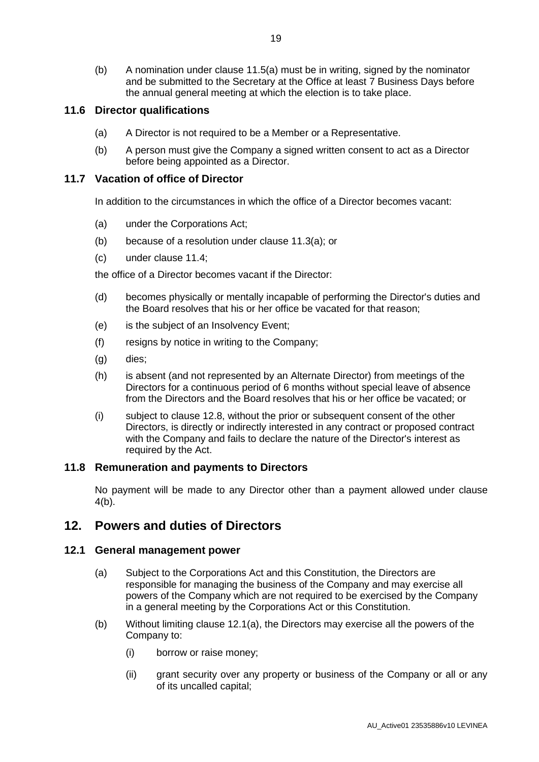(b) A nomination under clause [11.5\(a\)](#page-22-4) must be in writing, signed by the nominator and be submitted to the Secretary at the Office at least 7 Business Days before the annual general meeting at which the election is to take place.

#### **11.6 Director qualifications**

- (a) A Director is not required to be a Member or a Representative.
- (b) A person must give the Company a signed written consent to act as a Director before being appointed as a Director.

#### <span id="page-23-0"></span>**11.7 Vacation of office of Director**

In addition to the circumstances in which the office of a Director becomes vacant:

- (a) under the Corporations Act;
- (b) because of a resolution under clause [11.3\(a\);](#page-22-5) or
- (c) under clause [11.4;](#page-22-6)

the office of a Director becomes vacant if the Director:

- (d) becomes physically or mentally incapable of performing the Director's duties and the Board resolves that his or her office be vacated for that reason;
- (e) is the subject of an Insolvency Event;
- (f) resigns by notice in writing to the Company;
- (g) dies;
- (h) is absent (and not represented by an Alternate Director) from meetings of the Directors for a continuous period of 6 months without special leave of absence from the Directors and the Board resolves that his or her office be vacated; or
- (i) subject to clause [12.8,](#page-25-0) without the prior or subsequent consent of the other Directors, is directly or indirectly interested in any contract or proposed contract with the Company and fails to declare the nature of the Director's interest as required by the Act.

#### **11.8 Remuneration and payments to Directors**

No payment will be made to any Director other than a payment allowed under clause [4\(b\).](#page-8-0)

### **12. Powers and duties of Directors**

#### <span id="page-23-1"></span>**12.1 General management power**

- (a) Subject to the Corporations Act and this Constitution, the Directors are responsible for managing the business of the Company and may exercise all powers of the Company which are not required to be exercised by the Company in a general meeting by the Corporations Act or this Constitution.
- (b) Without limiting clause [12.1\(a\),](#page-23-1) the Directors may exercise all the powers of the Company to:
	- (i) borrow or raise money;
	- (ii) grant security over any property or business of the Company or all or any of its uncalled capital;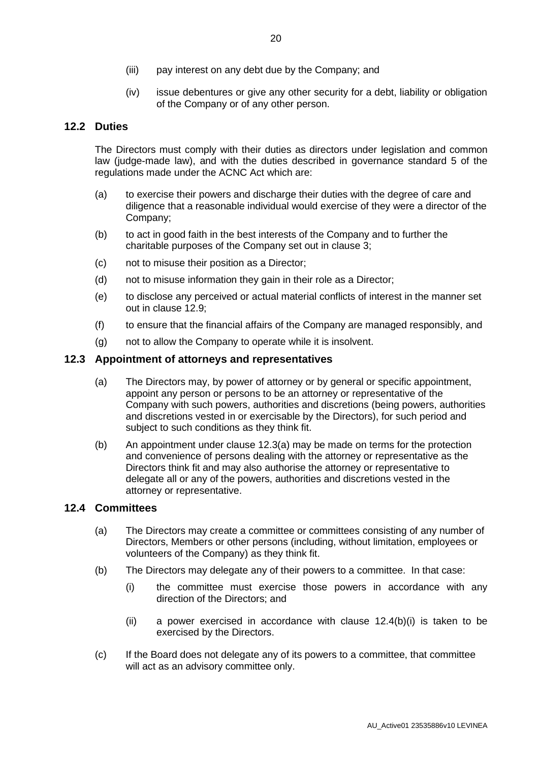- (iii) pay interest on any debt due by the Company; and
- (iv) issue debentures or give any other security for a debt, liability or obligation of the Company or of any other person.

#### **12.2 Duties**

The Directors must comply with their duties as directors under legislation and common law (judge-made law), and with the duties described in governance standard 5 of the regulations made under the ACNC Act which are:

- (a) to exercise their powers and discharge their duties with the degree of care and diligence that a reasonable individual would exercise of they were a director of the Company;
- (b) to act in good faith in the best interests of the Company and to further the charitable purposes of the Company set out in clause 3;
- (c) not to misuse their position as a Director;
- (d) not to misuse information they gain in their role as a Director;
- (e) to disclose any perceived or actual material conflicts of interest in the manner set out in clause 12.9;
- (f) to ensure that the financial affairs of the Company are managed responsibly, and
- (g) not to allow the Company to operate while it is insolvent.

#### <span id="page-24-0"></span>**12.3 Appointment of attorneys and representatives**

- (a) The Directors may, by power of attorney or by general or specific appointment, appoint any person or persons to be an attorney or representative of the Company with such powers, authorities and discretions (being powers, authorities and discretions vested in or exercisable by the Directors), for such period and subject to such conditions as they think fit.
- (b) An appointment under clause [12.3\(a\)](#page-24-0) may be made on terms for the protection and convenience of persons dealing with the attorney or representative as the Directors think fit and may also authorise the attorney or representative to delegate all or any of the powers, authorities and discretions vested in the attorney or representative.

#### **12.4 Committees**

- (a) The Directors may create a committee or committees consisting of any number of Directors, Members or other persons (including, without limitation, employees or volunteers of the Company) as they think fit.
- <span id="page-24-1"></span>(b) The Directors may delegate any of their powers to a committee. In that case:
	- (i) the committee must exercise those powers in accordance with any direction of the Directors; and
	- (ii) a power exercised in accordance with clause [12.4\(b\)\(i\)](#page-24-1) is taken to be exercised by the Directors.
- (c) If the Board does not delegate any of its powers to a committee, that committee will act as an advisory committee only.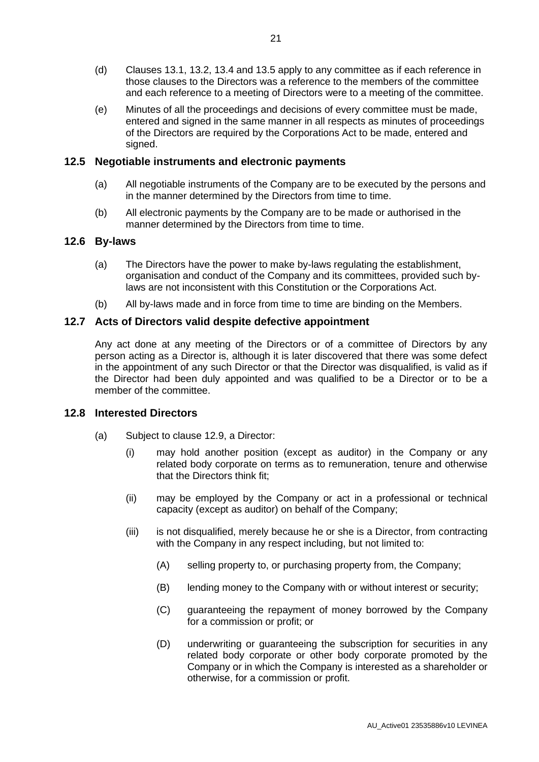- (d) Clauses [13.1,](#page-27-1) [13.2,](#page-27-2) [13.4](#page-27-0) and [13.5](#page-28-0) apply to any committee as if each reference in those clauses to the Directors was a reference to the members of the committee and each reference to a meeting of Directors were to a meeting of the committee.
- (e) Minutes of all the proceedings and decisions of every committee must be made, entered and signed in the same manner in all respects as minutes of proceedings of the Directors are required by the Corporations Act to be made, entered and signed.

#### **12.5 Negotiable instruments and electronic payments**

- (a) All negotiable instruments of the Company are to be executed by the persons and in the manner determined by the Directors from time to time.
- (b) All electronic payments by the Company are to be made or authorised in the manner determined by the Directors from time to time.

#### **12.6 By-laws**

- (a) The Directors have the power to make by-laws regulating the establishment, organisation and conduct of the Company and its committees, provided such bylaws are not inconsistent with this Constitution or the Corporations Act.
- (b) All by-laws made and in force from time to time are binding on the Members.

#### **12.7 Acts of Directors valid despite defective appointment**

Any act done at any meeting of the Directors or of a committee of Directors by any person acting as a Director is, although it is later discovered that there was some defect in the appointment of any such Director or that the Director was disqualified, is valid as if the Director had been duly appointed and was qualified to be a Director or to be a member of the committee.

#### <span id="page-25-0"></span>**12.8 Interested Directors**

- (a) Subject to clause [12.9,](#page-26-0) a Director:
	- (i) may hold another position (except as auditor) in the Company or any related body corporate on terms as to remuneration, tenure and otherwise that the Directors think fit;
	- (ii) may be employed by the Company or act in a professional or technical capacity (except as auditor) on behalf of the Company;
	- (iii) is not disqualified, merely because he or she is a Director, from contracting with the Company in any respect including, but not limited to:
		- (A) selling property to, or purchasing property from, the Company;
		- (B) lending money to the Company with or without interest or security;
		- (C) guaranteeing the repayment of money borrowed by the Company for a commission or profit; or
		- (D) underwriting or guaranteeing the subscription for securities in any related body corporate or other body corporate promoted by the Company or in which the Company is interested as a shareholder or otherwise, for a commission or profit.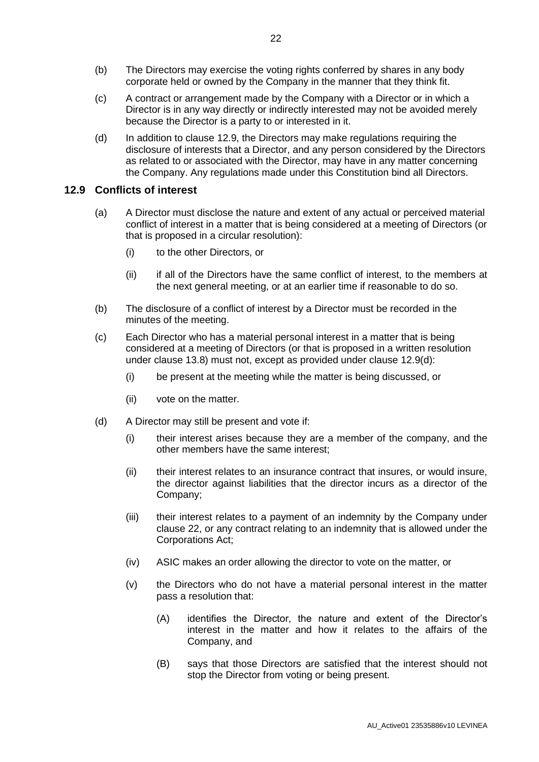- (b) The Directors may exercise the voting rights conferred by shares in any body corporate held or owned by the Company in the manner that they think fit.
- (c) A contract or arrangement made by the Company with a Director or in which a Director is in any way directly or indirectly interested may not be avoided merely because the Director is a party to or interested in it.
- (d) In addition to clause [12.9,](#page-26-0) the Directors may make regulations requiring the disclosure of interests that a Director, and any person considered by the Directors as related to or associated with the Director, may have in any matter concerning the Company. Any regulations made under this Constitution bind all Directors.

#### <span id="page-26-0"></span>**12.9 Conflicts of interest**

- (a) A Director must disclose the nature and extent of any actual or perceived material conflict of interest in a matter that is being considered at a meeting of Directors (or that is proposed in a circular resolution):
	- (i) to the other Directors, or
	- (ii) if all of the Directors have the same conflict of interest, to the members at the next general meeting, or at an earlier time if reasonable to do so.
- (b) The disclosure of a conflict of interest by a Director must be recorded in the minutes of the meeting.
- (c) Each Director who has a material personal interest in a matter that is being considered at a meeting of Directors (or that is proposed in a written resolution under clause [13.8\)](#page-28-1) must not, except as provided under clause [12.9\(d\):](#page-26-1)
	- (i) be present at the meeting while the matter is being discussed, or
	- (ii) vote on the matter.
- <span id="page-26-1"></span>(d) A Director may still be present and vote if:
	- (i) their interest arises because they are a member of the company, and the other members have the same interest;
	- (ii) their interest relates to an insurance contract that insures, or would insure, the director against liabilities that the director incurs as a director of the Company;
	- (iii) their interest relates to a payment of an indemnity by the Company under clause [22,](#page-35-0) or any contract relating to an indemnity that is allowed under the Corporations Act;
	- (iv) ASIC makes an order allowing the director to vote on the matter, or
	- (v) the Directors who do not have a material personal interest in the matter pass a resolution that:
		- (A) identifies the Director, the nature and extent of the Director's interest in the matter and how it relates to the affairs of the Company, and
		- (B) says that those Directors are satisfied that the interest should not stop the Director from voting or being present.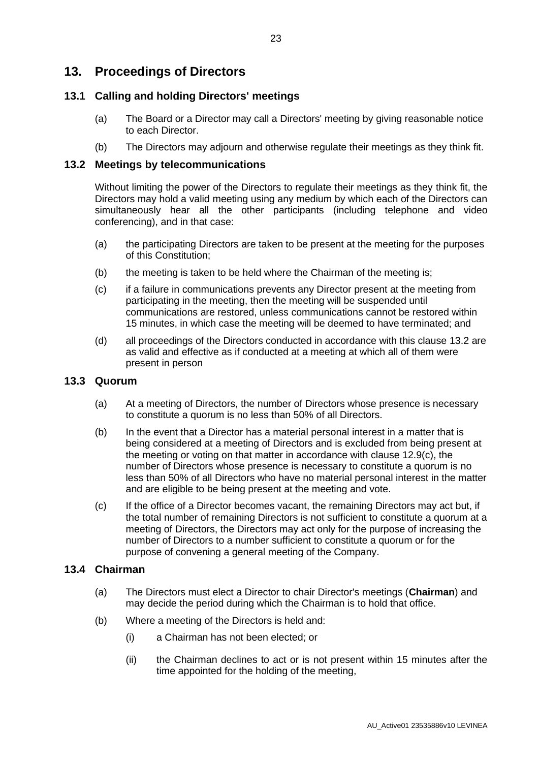### **13. Proceedings of Directors**

#### <span id="page-27-1"></span>**13.1 Calling and holding Directors' meetings**

- (a) The Board or a Director may call a Directors' meeting by giving reasonable notice to each Director.
- <span id="page-27-2"></span>(b) The Directors may adjourn and otherwise regulate their meetings as they think fit.

#### **13.2 Meetings by telecommunications**

Without limiting the power of the Directors to regulate their meetings as they think fit, the Directors may hold a valid meeting using any medium by which each of the Directors can simultaneously hear all the other participants (including telephone and video conferencing), and in that case:

- (a) the participating Directors are taken to be present at the meeting for the purposes of this Constitution;
- (b) the meeting is taken to be held where the Chairman of the meeting is;
- (c) if a failure in communications prevents any Director present at the meeting from participating in the meeting, then the meeting will be suspended until communications are restored, unless communications cannot be restored within 15 minutes, in which case the meeting will be deemed to have terminated; and
- (d) all proceedings of the Directors conducted in accordance with this clause [13.2](#page-27-2) are as valid and effective as if conducted at a meeting at which all of them were present in person

#### **13.3 Quorum**

- (a) At a meeting of Directors, the number of Directors whose presence is necessary to constitute a quorum is no less than 50% of all Directors.
- (b) In the event that a Director has a material personal interest in a matter that is being considered at a meeting of Directors and is excluded from being present at the meeting or voting on that matter in accordance with clause 12.9(c), the number of Directors whose presence is necessary to constitute a quorum is no less than 50% of all Directors who have no material personal interest in the matter and are eligible to be being present at the meeting and vote.
- (c) If the office of a Director becomes vacant, the remaining Directors may act but, if the total number of remaining Directors is not sufficient to constitute a quorum at a meeting of Directors, the Directors may act only for the purpose of increasing the number of Directors to a number sufficient to constitute a quorum or for the purpose of convening a general meeting of the Company.

#### **13.4 Chairman**

- <span id="page-27-0"></span>(a) The Directors must elect a Director to chair Director's meetings (**Chairman**) and may decide the period during which the Chairman is to hold that office.
- <span id="page-27-3"></span>(b) Where a meeting of the Directors is held and:
	- (i) a Chairman has not been elected; or
	- (ii) the Chairman declines to act or is not present within 15 minutes after the time appointed for the holding of the meeting,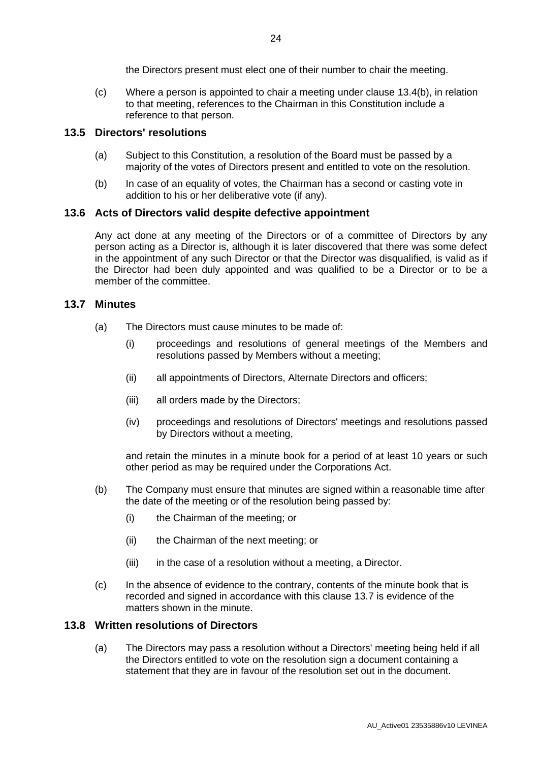the Directors present must elect one of their number to chair the meeting.

(c) Where a person is appointed to chair a meeting under clause [13.4\(b\),](#page-27-3) in relation to that meeting, references to the Chairman in this Constitution include a reference to that person.

#### <span id="page-28-0"></span>**13.5 Directors' resolutions**

- (a) Subject to this Constitution, a resolution of the Board must be passed by a majority of the votes of Directors present and entitled to vote on the resolution.
- (b) In case of an equality of votes, the Chairman has a second or casting vote in addition to his or her deliberative vote (if any).

#### **13.6 Acts of Directors valid despite defective appointment**

Any act done at any meeting of the Directors or of a committee of Directors by any person acting as a Director is, although it is later discovered that there was some defect in the appointment of any such Director or that the Director was disqualified, is valid as if the Director had been duly appointed and was qualified to be a Director or to be a member of the committee.

#### **13.7 Minutes**

- (a) The Directors must cause minutes to be made of:
	- (i) proceedings and resolutions of general meetings of the Members and resolutions passed by Members without a meeting;
	- (ii) all appointments of Directors, Alternate Directors and officers;
	- (iii) all orders made by the Directors;
	- (iv) proceedings and resolutions of Directors' meetings and resolutions passed by Directors without a meeting,

and retain the minutes in a minute book for a period of at least 10 years or such other period as may be required under the Corporations Act.

- (b) The Company must ensure that minutes are signed within a reasonable time after the date of the meeting or of the resolution being passed by:
	- (i) the Chairman of the meeting; or
	- (ii) the Chairman of the next meeting; or
	- (iii) in the case of a resolution without a meeting, a Director.
- (c) In the absence of evidence to the contrary, contents of the minute book that is recorded and signed in accordance with this clause 13.7 is evidence of the matters shown in the minute.

#### <span id="page-28-1"></span>**13.8 Written resolutions of Directors**

(a) The Directors may pass a resolution without a Directors' meeting being held if all the Directors entitled to vote on the resolution sign a document containing a statement that they are in favour of the resolution set out in the document.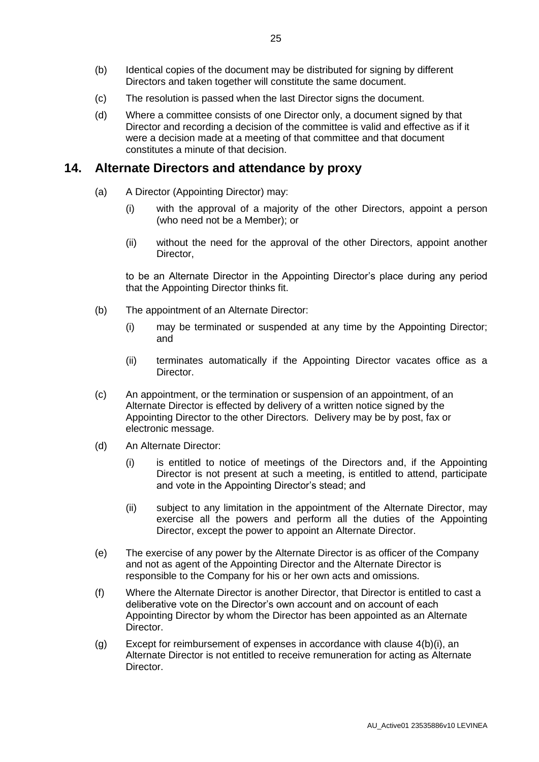- (b) Identical copies of the document may be distributed for signing by different Directors and taken together will constitute the same document.
- (c) The resolution is passed when the last Director signs the document.
- (d) Where a committee consists of one Director only, a document signed by that Director and recording a decision of the committee is valid and effective as if it were a decision made at a meeting of that committee and that document constitutes a minute of that decision.

### <span id="page-29-1"></span><span id="page-29-0"></span>**14. Alternate Directors and attendance by proxy**

- (a) A Director (Appointing Director) may:
	- (i) with the approval of a majority of the other Directors, appoint a person (who need not be a Member); or
	- (ii) without the need for the approval of the other Directors, appoint another Director,

to be an Alternate Director in the Appointing Director's place during any period that the Appointing Director thinks fit.

- (b) The appointment of an Alternate Director:
	- (i) may be terminated or suspended at any time by the Appointing Director; and
	- (ii) terminates automatically if the Appointing Director vacates office as a Director.
- (c) An appointment, or the termination or suspension of an appointment, of an Alternate Director is effected by delivery of a written notice signed by the Appointing Director to the other Directors. Delivery may be by post, fax or electronic message.
- (d) An Alternate Director:
	- (i) is entitled to notice of meetings of the Directors and, if the Appointing Director is not present at such a meeting, is entitled to attend, participate and vote in the Appointing Director's stead; and
	- (ii) subject to any limitation in the appointment of the Alternate Director, may exercise all the powers and perform all the duties of the Appointing Director, except the power to appoint an Alternate Director.
- (e) The exercise of any power by the Alternate Director is as officer of the Company and not as agent of the Appointing Director and the Alternate Director is responsible to the Company for his or her own acts and omissions.
- (f) Where the Alternate Director is another Director, that Director is entitled to cast a deliberative vote on the Director's own account and on account of each Appointing Director by whom the Director has been appointed as an Alternate Director.
- (g) Except for reimbursement of expenses in accordance with clause [4\(b\)\(i\),](#page-8-1) an Alternate Director is not entitled to receive remuneration for acting as Alternate Director.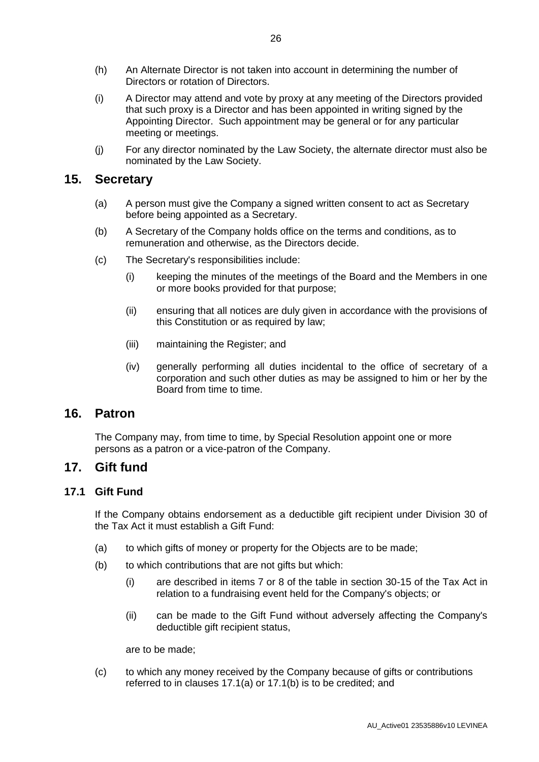- (h) An Alternate Director is not taken into account in determining the number of Directors or rotation of Directors.
- (i) A Director may attend and vote by proxy at any meeting of the Directors provided that such proxy is a Director and has been appointed in writing signed by the Appointing Director. Such appointment may be general or for any particular meeting or meetings.
- (j) For any director nominated by the Law Society, the alternate director must also be nominated by the Law Society.

### **15. Secretary**

- (a) A person must give the Company a signed written consent to act as Secretary before being appointed as a Secretary.
- (b) A Secretary of the Company holds office on the terms and conditions, as to remuneration and otherwise, as the Directors decide.
- (c) The Secretary's responsibilities include:
	- (i) keeping the minutes of the meetings of the Board and the Members in one or more books provided for that purpose;
	- (ii) ensuring that all notices are duly given in accordance with the provisions of this Constitution or as required by law;
	- (iii) maintaining the Register; and
	- (iv) generally performing all duties incidental to the office of secretary of a corporation and such other duties as may be assigned to him or her by the Board from time to time.

### <span id="page-30-0"></span>**16. Patron**

The Company may, from time to time, by Special Resolution appoint one or more persons as a patron or a vice-patron of the Company.

#### **17. Gift fund**

#### **17.1 Gift Fund**

If the Company obtains endorsement as a deductible gift recipient under Division 30 of the Tax Act it must establish a Gift Fund:

- <span id="page-30-1"></span>(a) to which gifts of money or property for the Objects are to be made;
- <span id="page-30-2"></span>(b) to which contributions that are not gifts but which:
	- (i) are described in items 7 or 8 of the table in section 30-15 of the Tax Act in relation to a fundraising event held for the Company's objects; or
	- (ii) can be made to the Gift Fund without adversely affecting the Company's deductible gift recipient status,

are to be made;

(c) to which any money received by the Company because of gifts or contributions referred to in clauses [17.1\(a\)](#page-30-1) or [17.1\(b\)](#page-30-2) is to be credited; and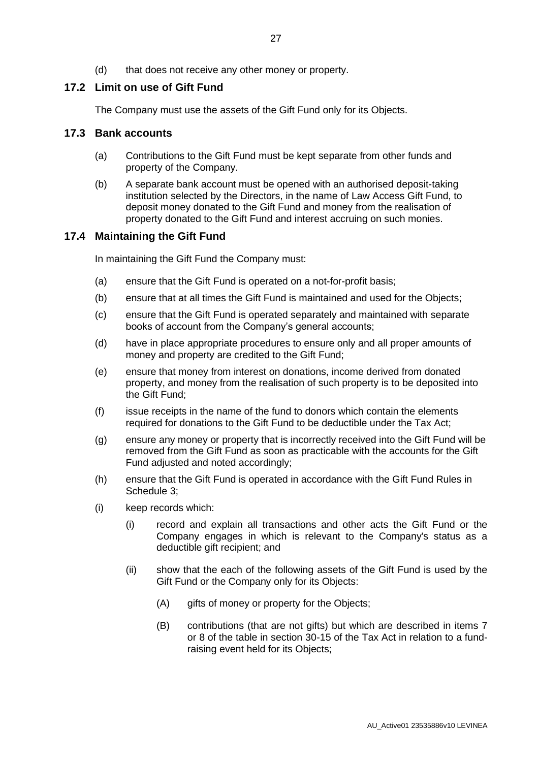(d) that does not receive any other money or property.

#### **17.2 Limit on use of Gift Fund**

The Company must use the assets of the Gift Fund only for its Objects.

#### **17.3 Bank accounts**

- (a) Contributions to the Gift Fund must be kept separate from other funds and property of the Company.
- (b) A separate bank account must be opened with an authorised deposit-taking institution selected by the Directors, in the name of Law Access Gift Fund, to deposit money donated to the Gift Fund and money from the realisation of property donated to the Gift Fund and interest accruing on such monies.

#### **17.4 Maintaining the Gift Fund**

In maintaining the Gift Fund the Company must:

- (a) ensure that the Gift Fund is operated on a not-for-profit basis;
- (b) ensure that at all times the Gift Fund is maintained and used for the Objects;
- (c) ensure that the Gift Fund is operated separately and maintained with separate books of account from the Company's general accounts;
- (d) have in place appropriate procedures to ensure only and all proper amounts of money and property are credited to the Gift Fund;
- (e) ensure that money from interest on donations, income derived from donated property, and money from the realisation of such property is to be deposited into the Gift Fund;
- (f) issue receipts in the name of the fund to donors which contain the elements required for donations to the Gift Fund to be deductible under the Tax Act;
- (g) ensure any money or property that is incorrectly received into the Gift Fund will be removed from the Gift Fund as soon as practicable with the accounts for the Gift Fund adjusted and noted accordingly;
- (h) ensure that the Gift Fund is operated in accordance with the Gift Fund Rules in Schedule [3;](#page-39-0)
- <span id="page-31-0"></span>(i) keep records which:
	- (i) record and explain all transactions and other acts the Gift Fund or the Company engages in which is relevant to the Company's status as a deductible gift recipient; and
	- (ii) show that the each of the following assets of the Gift Fund is used by the Gift Fund or the Company only for its Objects:
		- (A) gifts of money or property for the Objects;
		- (B) contributions (that are not gifts) but which are described in items 7 or 8 of the table in section 30-15 of the Tax Act in relation to a fundraising event held for its Objects;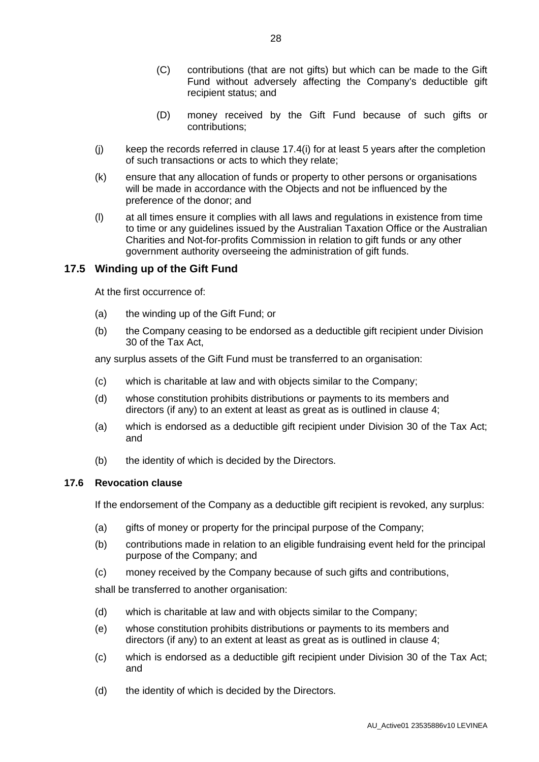- (C) contributions (that are not gifts) but which can be made to the Gift Fund without adversely affecting the Company's deductible gift recipient status; and
- (D) money received by the Gift Fund because of such gifts or contributions;
- (j) keep the records referred in clause [17.4\(i\)](#page-31-0) for at least 5 years after the completion of such transactions or acts to which they relate;
- (k) ensure that any allocation of funds or property to other persons or organisations will be made in accordance with the Objects and not be influenced by the preference of the donor; and
- (l) at all times ensure it complies with all laws and regulations in existence from time to time or any guidelines issued by the Australian Taxation Office or the Australian Charities and Not-for-profits Commission in relation to gift funds or any other government authority overseeing the administration of gift funds.

#### **17.5 Winding up of the Gift Fund**

At the first occurrence of:

- (a) the winding up of the Gift Fund; or
- (b) the Company ceasing to be endorsed as a deductible gift recipient under Division 30 of the Tax Act,

any surplus assets of the Gift Fund must be transferred to an organisation:

- (c) which is charitable at law and with objects similar to the Company;
- (d) whose constitution prohibits distributions or payments to its members and directors (if any) to an extent at least as great as is outlined in clause [4;](#page-8-2)
- (a) which is endorsed as a deductible gift recipient under Division 30 of the Tax Act; and
- (b) the identity of which is decided by the Directors.

#### **17.6 Revocation clause**

If the endorsement of the Company as a deductible gift recipient is revoked, any surplus:

- (a) gifts of money or property for the principal purpose of the Company;
- (b) contributions made in relation to an eligible fundraising event held for the principal purpose of the Company; and
- (c) money received by the Company because of such gifts and contributions,

shall be transferred to another organisation:

- (d) which is charitable at law and with objects similar to the Company;
- (e) whose constitution prohibits distributions or payments to its members and directors (if any) to an extent at least as great as is outlined in clause [4;](#page-8-2)
- (c) which is endorsed as a deductible gift recipient under Division 30 of the Tax Act; and
- (d) the identity of which is decided by the Directors.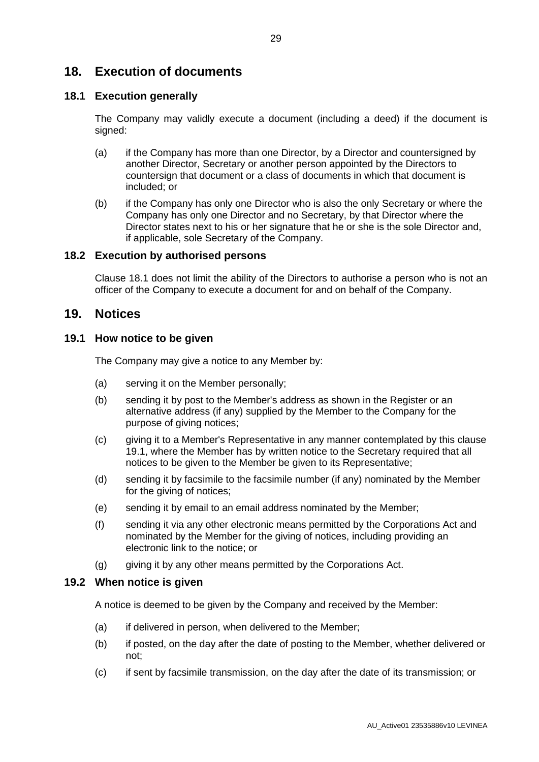### **18. Execution of documents**

#### <span id="page-33-0"></span>**18.1 Execution generally**

The Company may validly execute a document (including a deed) if the document is signed:

- (a) if the Company has more than one Director, by a Director and countersigned by another Director, Secretary or another person appointed by the Directors to countersign that document or a class of documents in which that document is included; or
- (b) if the Company has only one Director who is also the only Secretary or where the Company has only one Director and no Secretary, by that Director where the Director states next to his or her signature that he or she is the sole Director and, if applicable, sole Secretary of the Company.

#### **18.2 Execution by authorised persons**

Clause [18.1](#page-33-0) does not limit the ability of the Directors to authorise a person who is not an officer of the Company to execute a document for and on behalf of the Company.

#### **19. Notices**

#### <span id="page-33-1"></span>**19.1 How notice to be given**

The Company may give a notice to any Member by:

- (a) serving it on the Member personally;
- (b) sending it by post to the Member's address as shown in the Register or an alternative address (if any) supplied by the Member to the Company for the purpose of giving notices;
- (c) giving it to a Member's Representative in any manner contemplated by this clause [19.1,](#page-33-1) where the Member has by written notice to the Secretary required that all notices to be given to the Member be given to its Representative;
- (d) sending it by facsimile to the facsimile number (if any) nominated by the Member for the giving of notices;
- (e) sending it by email to an email address nominated by the Member;
- (f) sending it via any other electronic means permitted by the Corporations Act and nominated by the Member for the giving of notices, including providing an electronic link to the notice; or
- (g) giving it by any other means permitted by the Corporations Act.

#### **19.2 When notice is given**

A notice is deemed to be given by the Company and received by the Member:

- (a) if delivered in person, when delivered to the Member;
- (b) if posted, on the day after the date of posting to the Member, whether delivered or not;
- (c) if sent by facsimile transmission, on the day after the date of its transmission; or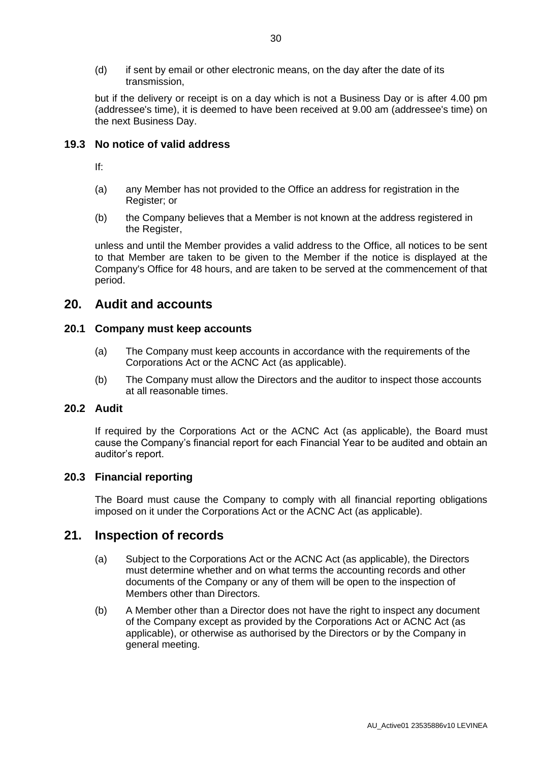(d) if sent by email or other electronic means, on the day after the date of its transmission,

but if the delivery or receipt is on a day which is not a Business Day or is after 4.00 pm (addressee's time), it is deemed to have been received at 9.00 am (addressee's time) on the next Business Day.

#### **19.3 No notice of valid address**

If:

- (a) any Member has not provided to the Office an address for registration in the Register; or
- (b) the Company believes that a Member is not known at the address registered in the Register,

unless and until the Member provides a valid address to the Office, all notices to be sent to that Member are taken to be given to the Member if the notice is displayed at the Company's Office for 48 hours, and are taken to be served at the commencement of that period.

### **20. Audit and accounts**

#### **20.1 Company must keep accounts**

- (a) The Company must keep accounts in accordance with the requirements of the Corporations Act or the ACNC Act (as applicable).
- (b) The Company must allow the Directors and the auditor to inspect those accounts at all reasonable times.

#### **20.2 Audit**

If required by the Corporations Act or the ACNC Act (as applicable), the Board must cause the Company's financial report for each Financial Year to be audited and obtain an auditor's report.

#### **20.3 Financial reporting**

The Board must cause the Company to comply with all financial reporting obligations imposed on it under the Corporations Act or the ACNC Act (as applicable).

#### **21. Inspection of records**

- (a) Subject to the Corporations Act or the ACNC Act (as applicable), the Directors must determine whether and on what terms the accounting records and other documents of the Company or any of them will be open to the inspection of Members other than Directors.
- (b) A Member other than a Director does not have the right to inspect any document of the Company except as provided by the Corporations Act or ACNC Act (as applicable), or otherwise as authorised by the Directors or by the Company in general meeting.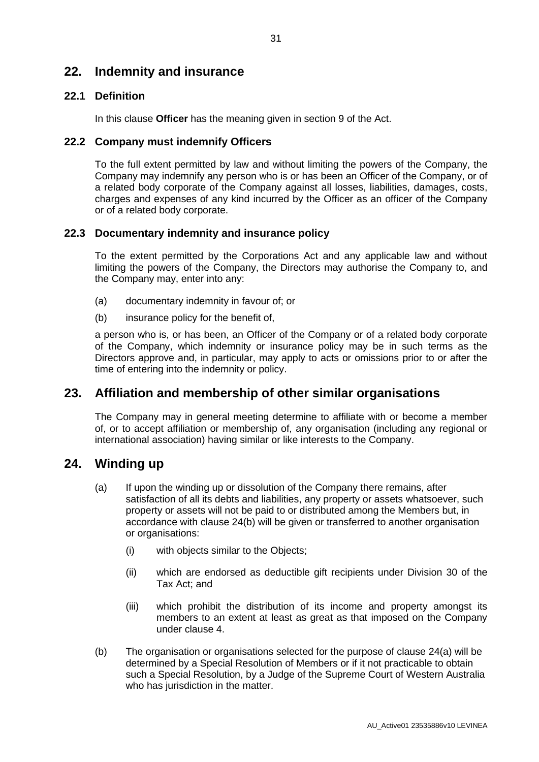### <span id="page-35-0"></span>**22. Indemnity and insurance**

#### **22.1 Definition**

In this clause **Officer** has the meaning given in section 9 of the Act.

#### **22.2 Company must indemnify Officers**

To the full extent permitted by law and without limiting the powers of the Company, the Company may indemnify any person who is or has been an Officer of the Company, or of a related body corporate of the Company against all losses, liabilities, damages, costs, charges and expenses of any kind incurred by the Officer as an officer of the Company or of a related body corporate.

#### **22.3 Documentary indemnity and insurance policy**

To the extent permitted by the Corporations Act and any applicable law and without limiting the powers of the Company, the Directors may authorise the Company to, and the Company may, enter into any:

- (a) documentary indemnity in favour of; or
- (b) insurance policy for the benefit of,

a person who is, or has been, an Officer of the Company or of a related body corporate of the Company, which indemnity or insurance policy may be in such terms as the Directors approve and, in particular, may apply to acts or omissions prior to or after the time of entering into the indemnity or policy.

### **23. Affiliation and membership of other similar organisations**

The Company may in general meeting determine to affiliate with or become a member of, or to accept affiliation or membership of, any organisation (including any regional or international association) having similar or like interests to the Company.

### <span id="page-35-2"></span>**24. Winding up**

- (a) If upon the winding up or dissolution of the Company there remains, after satisfaction of all its debts and liabilities, any property or assets whatsoever, such property or assets will not be paid to or distributed among the Members but, in accordance with clause [24\(b\)](#page-35-1) will be given or transferred to another organisation or organisations:
	- (i) with objects similar to the Objects;
	- (ii) which are endorsed as deductible gift recipients under Division 30 of the Tax Act; and
	- (iii) which prohibit the distribution of its income and property amongst its members to an extent at least as great as that imposed on the Company under clause [4.](#page-8-2)
- <span id="page-35-1"></span>(b) The organisation or organisations selected for the purpose of clause [24\(a\)](#page-35-2) will be determined by a Special Resolution of Members or if it not practicable to obtain such a Special Resolution, by a Judge of the Supreme Court of Western Australia who has jurisdiction in the matter.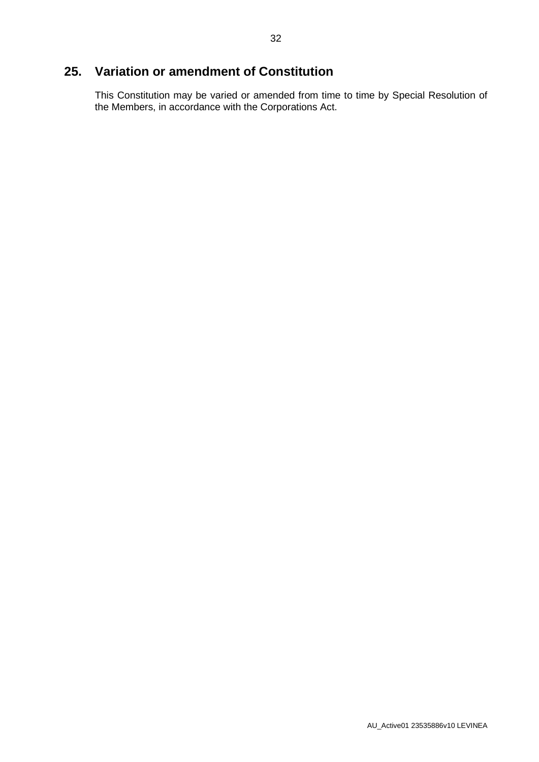# **25. Variation or amendment of Constitution**

This Constitution may be varied or amended from time to time by Special Resolution of the Members, in accordance with the Corporations Act.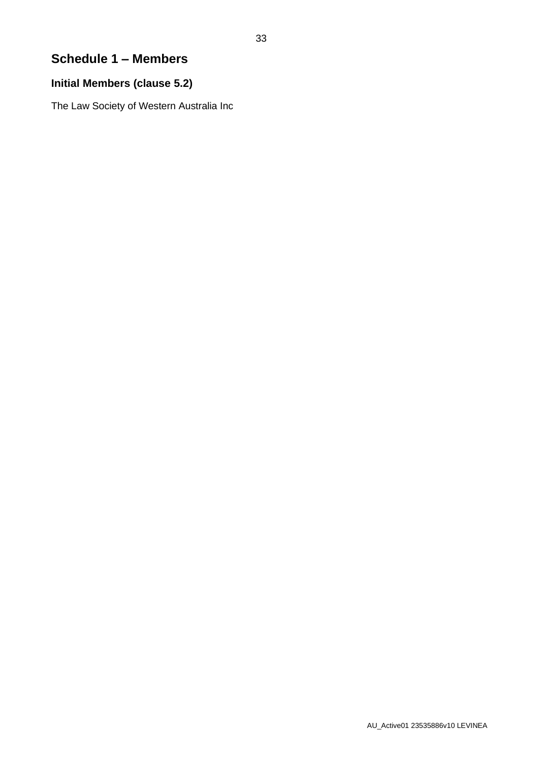# <span id="page-37-0"></span>**Schedule 1 – Members**

### **Initial Members (clause [5.2\)](#page-9-0)**

The Law Society of Western Australia Inc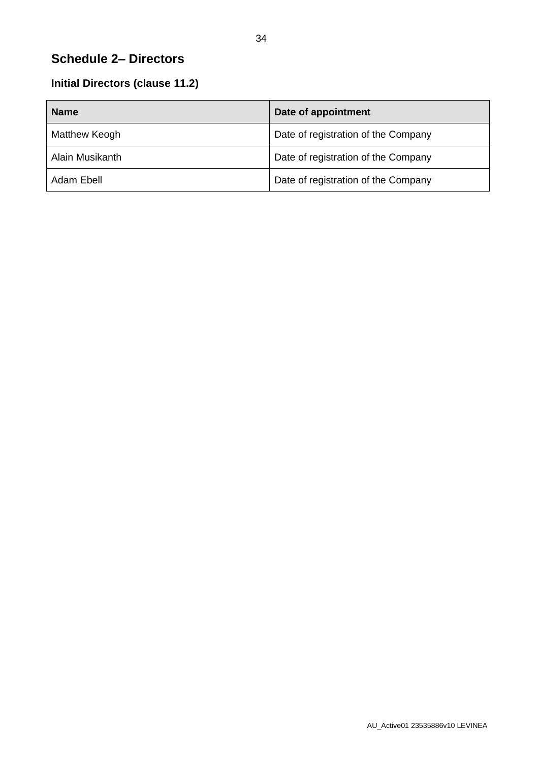# <span id="page-38-0"></span>**Schedule 2– Directors**

# **Initial Directors (clause [11.2\)](#page-22-7)**

| <b>Name</b>     | Date of appointment                 |
|-----------------|-------------------------------------|
| Matthew Keogh   | Date of registration of the Company |
| Alain Musikanth | Date of registration of the Company |
| Adam Ebell      | Date of registration of the Company |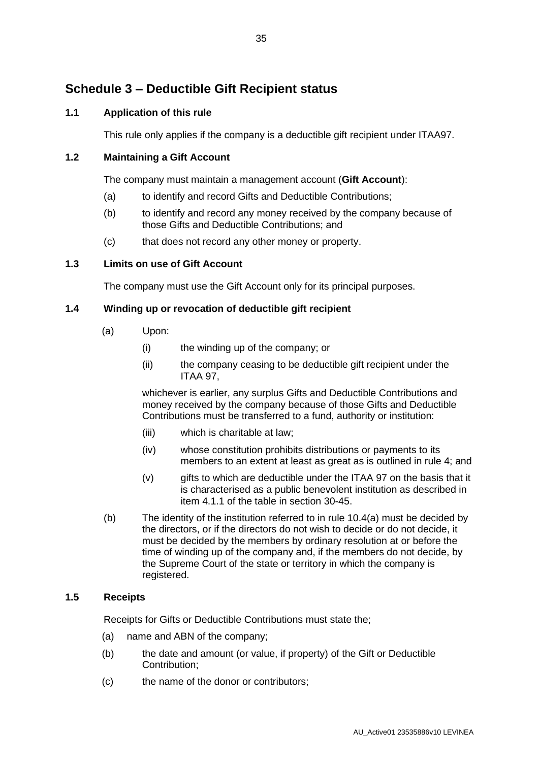# <span id="page-39-0"></span>**Schedule 3 – Deductible Gift Recipient status**

#### **1.1 Application of this rule**

This rule only applies if the company is a deductible gift recipient under ITAA97.

#### **1.2 Maintaining a Gift Account**

The company must maintain a management account (**Gift Account**):

- (a) to identify and record Gifts and Deductible Contributions;
- (b) to identify and record any money received by the company because of those Gifts and Deductible Contributions; and
- (c) that does not record any other money or property.

#### **1.3 Limits on use of Gift Account**

The company must use the Gift Account only for its principal purposes.

#### **1.4 Winding up or revocation of deductible gift recipient**

- (a) Upon:
	- (i) the winding up of the company; or
	- (ii) the company ceasing to be deductible gift recipient under the ITAA 97,

whichever is earlier, any surplus Gifts and Deductible Contributions and money received by the company because of those Gifts and Deductible Contributions must be transferred to a fund, authority or institution:

- (iii) which is charitable at law;
- (iv) whose constitution prohibits distributions or payments to its members to an extent at least as great as is outlined in rule 4; and
- (v) gifts to which are deductible under the ITAA 97 on the basis that it is characterised as a public benevolent institution as described in item 4.1.1 of the table in section 30-45.
- (b) The identity of the institution referred to in rule 10.4(a) must be decided by the directors, or if the directors do not wish to decide or do not decide, it must be decided by the members by ordinary resolution at or before the time of winding up of the company and, if the members do not decide, by the Supreme Court of the state or territory in which the company is registered.

#### **1.5 Receipts**

Receipts for Gifts or Deductible Contributions must state the;

- (a) name and ABN of the company;
- (b) the date and amount (or value, if property) of the Gift or Deductible Contribution;
- (c) the name of the donor or contributors;